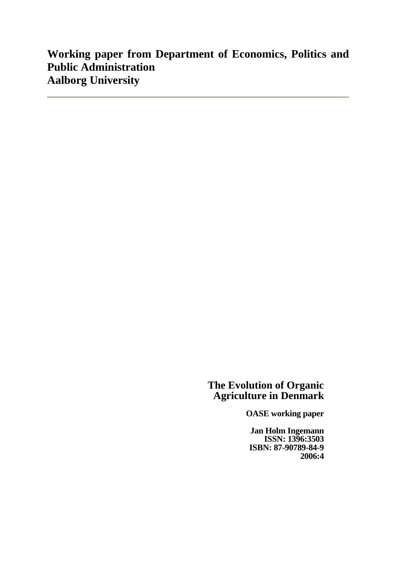**Working paper from Department of Economics, Politics and Public Administration Aalborg University**

## **The Evolution of Organic Agriculture in Denmark**

**OASE working paper** 

**Jan Holm Ingemann ISSN: 1396:3503 ISBN: 87-90789-84-9 2006:4**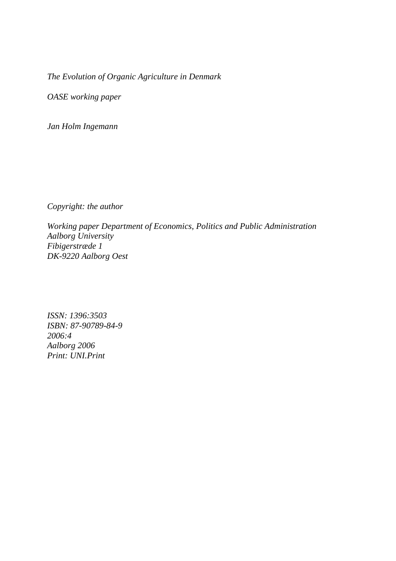*The Evolution of Organic Agriculture in Denmark* 

*OASE working paper* 

*Jan Holm Ingemann* 

*Copyright: the author* 

*Working paper Department of Economics, Politics and Public Administration Aalborg University Fibigerstræde 1 DK-9220 Aalborg Oest* 

*ISSN: 1396:3503 ISBN: 87-90789-84-9 2006:4 Aalborg 2006 Print: UNI.Print*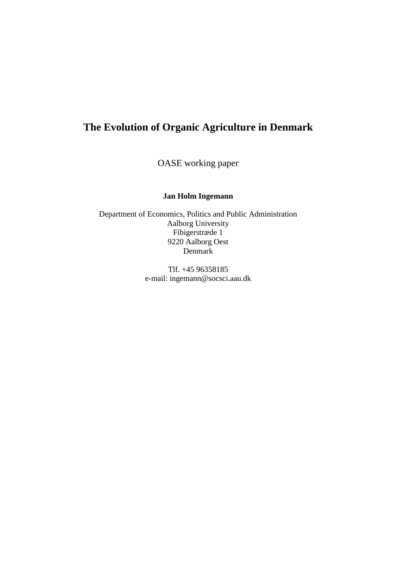# **The Evolution of Organic Agriculture in Denmark**

OASE working paper

#### **Jan Holm Ingemann**

Department of Economics, Politics and Public Administration Aalborg University Fibigerstræde 1 9220 Aalborg Oest Denmark

> Tlf. +45 96358185 e-mail: ingemann@socsci.aau.dk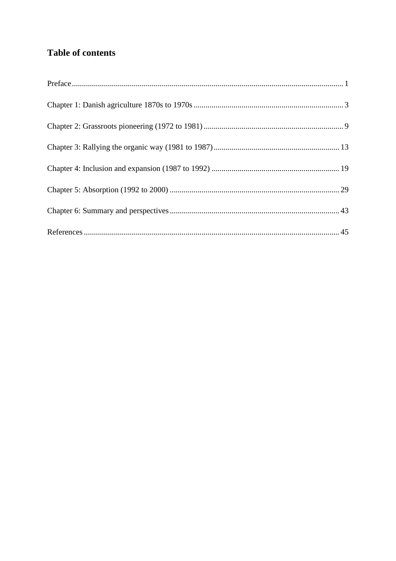# **Table of contents**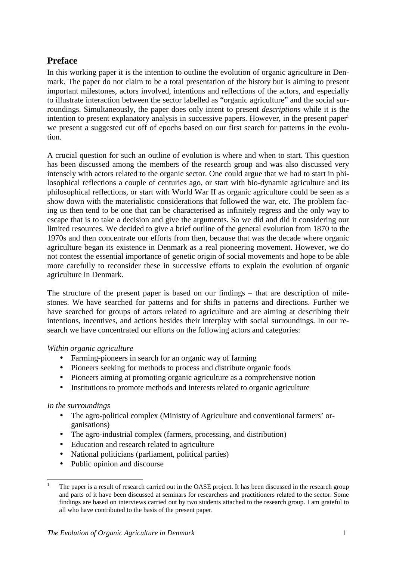## **Preface**

In this working paper it is the intention to outline the evolution of organic agriculture in Denmark. The paper do not claim to be a total presentation of the history but is aiming to present important milestones, actors involved, intentions and reflections of the actors, and especially to illustrate interaction between the sector labelled as "organic agriculture" and the social surroundings. Simultaneously, the paper does only intent to present *descriptions* while it is the intention to present explanatory analysis in successive papers. However, in the present paper<sup>1</sup> we present a suggested cut off of epochs based on our first search for patterns in the evolution.

A crucial question for such an outline of evolution is where and when to start. This question has been discussed among the members of the research group and was also discussed very intensely with actors related to the organic sector. One could argue that we had to start in philosophical reflections a couple of centuries ago, or start with bio-dynamic agriculture and its philosophical reflections, or start with World War II as organic agriculture could be seen as a show down with the materialistic considerations that followed the war, etc. The problem facing us then tend to be one that can be characterised as infinitely regress and the only way to escape that is to take a decision and give the arguments. So we did and did it considering our limited resources. We decided to give a brief outline of the general evolution from 1870 to the 1970s and then concentrate our efforts from then, because that was the decade where organic agriculture began its existence in Denmark as a real pioneering movement. However, we do not contest the essential importance of genetic origin of social movements and hope to be able more carefully to reconsider these in successive efforts to explain the evolution of organic agriculture in Denmark.

The structure of the present paper is based on our findings – that are description of milestones. We have searched for patterns and for shifts in patterns and directions. Further we have searched for groups of actors related to agriculture and are aiming at describing their intentions, incentives, and actions besides their interplay with social surroundings. In our research we have concentrated our efforts on the following actors and categories:

#### *Within organic agriculture*

- Farming-pioneers in search for an organic way of farming
- Pioneers seeking for methods to process and distribute organic foods
- Pioneers aiming at promoting organic agriculture as a comprehensive notion
- Institutions to promote methods and interests related to organic agriculture

#### *In the surroundings*

 $\overline{a}$ 

- The agro-political complex (Ministry of Agriculture and conventional farmers' organisations)
- The agro-industrial complex (farmers, processing, and distribution)
- Education and research related to agriculture
- National politicians (parliament, political parties)
- Public opinion and discourse

<sup>1</sup> The paper is a result of research carried out in the OASE project. It has been discussed in the research group and parts of it have been discussed at seminars for researchers and practitioners related to the sector. Some findings are based on interviews carried out by two students attached to the research group. I am grateful to all who have contributed to the basis of the present paper.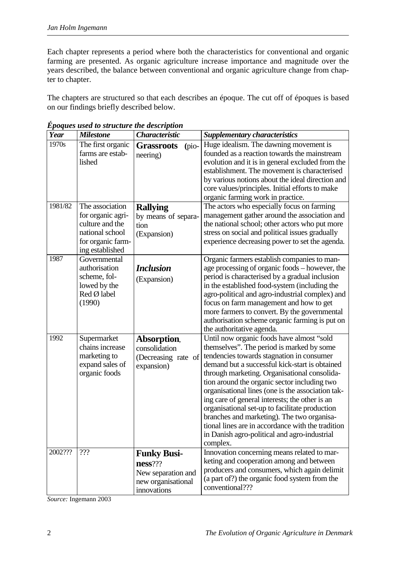Each chapter represents a period where both the characteristics for conventional and organic farming are presented. As organic agriculture increase importance and magnitude over the years described, the balance between conventional and organic agriculture change from chapter to chapter.

The chapters are structured so that each describes an époque. The cut off of époques is based on our findings briefly described below.

| <b>Year</b>        | <b>Milestone</b>                                                                                                   | <b>Characteristic</b>                                                                    | <b>Supplementary characteristics</b>                                                                                                                                                                                                                                                                                                                                                                                                                                                                                                                                                                          |
|--------------------|--------------------------------------------------------------------------------------------------------------------|------------------------------------------------------------------------------------------|---------------------------------------------------------------------------------------------------------------------------------------------------------------------------------------------------------------------------------------------------------------------------------------------------------------------------------------------------------------------------------------------------------------------------------------------------------------------------------------------------------------------------------------------------------------------------------------------------------------|
| $\overline{1970s}$ | The first organic<br>farms are estab-<br>lished                                                                    | <b>Grassroots</b><br>(pio-<br>neering)                                                   | Huge idealism. The dawning movement is<br>founded as a reaction towards the mainstream<br>evolution and it is in general excluded from the<br>establishment. The movement is characterised<br>by various notions about the ideal direction and<br>core values/principles. Initial efforts to make<br>organic farming work in practice.                                                                                                                                                                                                                                                                        |
| 1981/82            | The association<br>for organic agri-<br>culture and the<br>national school<br>for organic farm-<br>ing established | <b>Rallying</b><br>by means of separa-<br>tion<br>(Expansion)                            | The actors who especially focus on farming<br>management gather around the association and<br>the national school; other actors who put more<br>stress on social and political issues gradually<br>experience decreasing power to set the agenda.                                                                                                                                                                                                                                                                                                                                                             |
| 1987               | Governmental<br>authorisation<br>scheme, fol-<br>lowed by the<br>Red Ø label<br>(1990)                             | <b>Inclusion</b><br>(Expansion)                                                          | Organic farmers establish companies to man-<br>age processing of organic foods – however, the<br>period is characterised by a gradual inclusion<br>in the established food-system (including the<br>agro-political and agro-industrial complex) and<br>focus on farm management and how to get<br>more farmers to convert. By the governmental<br>authorisation scheme organic farming is put on<br>the authoritative agenda.                                                                                                                                                                                 |
| 1992               | Supermarket<br>chains increase<br>marketing to<br>expand sales of<br>organic foods                                 | Absorption,<br>consolidation<br>(Decreasing rate of<br>expansion)                        | Until now organic foods have almost "sold<br>themselves". The period is marked by some<br>tendencies towards stagnation in consumer<br>demand but a successful kick-start is obtained<br>through marketing. Organisational consolida-<br>tion around the organic sector including two<br>organisational lines (one is the association tak-<br>ing care of general interests; the other is an<br>organisational set-up to facilitate production<br>branches and marketing). The two organisa-<br>tional lines are in accordance with the tradition<br>in Danish agro-political and agro-industrial<br>complex. |
| 2002???            | 222                                                                                                                | <b>Funky Busi-</b><br>ness???<br>New separation and<br>new organisational<br>innovations | Innovation concerning means related to mar-<br>keting and cooperation among and between<br>producers and consumers, which again delimit<br>(a part of?) the organic food system from the<br>conventional???                                                                                                                                                                                                                                                                                                                                                                                                   |

*Époques used to structure the description* 

*Source:* Ingemann 2003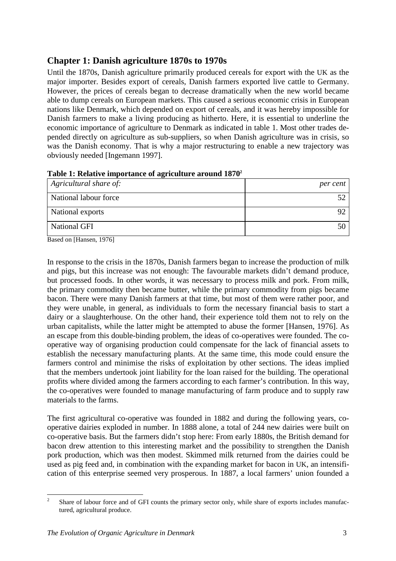## **Chapter 1: Danish agriculture 1870s to 1970s**

Until the 1870s, Danish agriculture primarily produced cereals for export with the UK as the major importer. Besides export of cereals, Danish farmers exported live cattle to Germany. However, the prices of cereals began to decrease dramatically when the new world became able to dump cereals on European markets. This caused a serious economic crisis in European nations like Denmark, which depended on export of cereals, and it was hereby impossible for Danish farmers to make a living producing as hitherto. Here, it is essential to underline the economic importance of agriculture to Denmark as indicated in table 1. Most other trades depended directly on agriculture as sub-suppliers, so when Danish agriculture was in crisis, so was the Danish economy. That is why a major restructuring to enable a new trajectory was obviously needed [Ingemann 1997].

| Table 1. Kelative importance of agriculture around 1070 |          |  |
|---------------------------------------------------------|----------|--|
| Agricultural share of:                                  | per cent |  |
| National labour force                                   |          |  |
| National exports                                        |          |  |
| <b>National GFI</b>                                     |          |  |
|                                                         |          |  |

| Table 1: Relative importance of agriculture around 1870 <sup>2</sup> |  |
|----------------------------------------------------------------------|--|
|----------------------------------------------------------------------|--|

Based on [Hansen, 1976]

In response to the crisis in the 1870s, Danish farmers began to increase the production of milk and pigs, but this increase was not enough: The favourable markets didn't demand produce, but processed foods. In other words, it was necessary to process milk and pork. From milk, the primary commodity then became butter, while the primary commodity from pigs became bacon. There were many Danish farmers at that time, but most of them were rather poor, and they were unable, in general, as individuals to form the necessary financial basis to start a dairy or a slaughterhouse. On the other hand, their experience told them not to rely on the urban capitalists, while the latter might be attempted to abuse the former [Hansen, 1976]. As an escape from this double-binding problem, the ideas of co-operatives were founded. The cooperative way of organising production could compensate for the lack of financial assets to establish the necessary manufacturing plants. At the same time, this mode could ensure the farmers control and minimise the risks of exploitation by other sections. The ideas implied that the members undertook joint liability for the loan raised for the building. The operational profits where divided among the farmers according to each farmer's contribution. In this way, the co-operatives were founded to manage manufacturing of farm produce and to supply raw materials to the farms.

The first agricultural co-operative was founded in 1882 and during the following years, cooperative dairies exploded in number. In 1888 alone, a total of 244 new dairies were built on co-operative basis. But the farmers didn't stop here: From early 1880s, the British demand for bacon drew attention to this interesting market and the possibility to strengthen the Danish pork production, which was then modest. Skimmed milk returned from the dairies could be used as pig feed and, in combination with the expanding market for bacon in UK, an intensification of this enterprise seemed very prosperous. In 1887, a local farmers' union founded a

 $\frac{1}{2}$  Share of labour force and of GFI counts the primary sector only, while share of exports includes manufactured, agricultural produce.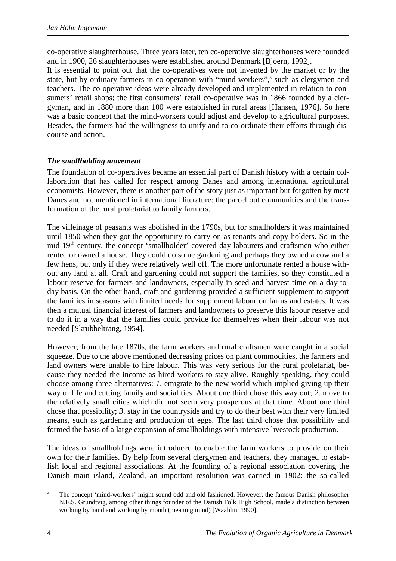co-operative slaughterhouse. Three years later, ten co-operative slaughterhouses were founded and in 1900, 26 slaughterhouses were established around Denmark [Bjoern, 1992].

It is essential to point out that the co-operatives were not invented by the market or by the state, but by ordinary farmers in co-operation with "mind-workers",<sup>3</sup> such as clergymen and teachers. The co-operative ideas were already developed and implemented in relation to consumers' retail shops; the first consumers' retail co-operative was in 1866 founded by a clergyman, and in 1880 more than 100 were established in rural areas [Hansen, 1976]. So here was a basic concept that the mind-workers could adjust and develop to agricultural purposes. Besides, the farmers had the willingness to unify and to co-ordinate their efforts through discourse and action.

#### *The smallholding movement*

The foundation of co-operatives became an essential part of Danish history with a certain collaboration that has called for respect among Danes and among international agricultural economists. However, there is another part of the story just as important but forgotten by most Danes and not mentioned in international literature: the parcel out communities and the transformation of the rural proletariat to family farmers.

The villeinage of peasants was abolished in the 1790s, but for smallholders it was maintained until 1850 when they got the opportunity to carry on as tenants and copy holders. So in the mid-19th century, the concept 'smallholder' covered day labourers and craftsmen who either rented or owned a house. They could do some gardening and perhaps they owned a cow and a few hens, but only if they were relatively well off. The more unfortunate rented a house without any land at all. Craft and gardening could not support the families, so they constituted a labour reserve for farmers and landowners, especially in seed and harvest time on a day-today basis. On the other hand, craft and gardening provided a sufficient supplement to support the families in seasons with limited needs for supplement labour on farms and estates. It was then a mutual financial interest of farmers and landowners to preserve this labour reserve and to do it in a way that the families could provide for themselves when their labour was not needed [Skrubbeltrang, 1954].

However, from the late 1870s, the farm workers and rural craftsmen were caught in a social squeeze. Due to the above mentioned decreasing prices on plant commodities, the farmers and land owners were unable to hire labour. This was very serious for the rural proletariat, because they needed the income as hired workers to stay alive. Roughly speaking, they could choose among three alternatives: *1*. emigrate to the new world which implied giving up their way of life and cutting family and social ties. About one third chose this way out; *2*. move to the relatively small cities which did not seem very prosperous at that time. About one third chose that possibility; *3*. stay in the countryside and try to do their best with their very limited means, such as gardening and production of eggs. The last third chose that possibility and formed the basis of a large expansion of smallholdings with intensive livestock production.

The ideas of smallholdings were introduced to enable the farm workers to provide on their own for their families. By help from several clergymen and teachers, they managed to establish local and regional associations. At the founding of a regional association covering the Danish main island, Zealand, an important resolution was carried in 1902: the so-called

 $\overline{a}$ 

<sup>3</sup> The concept 'mind-workers' might sound odd and old fashioned. However, the famous Danish philosopher N.F.S. Grundtvig, among other things founder of the Danish Folk High School, made a distinction between working by hand and working by mouth (meaning mind) [Waahlin, 1990].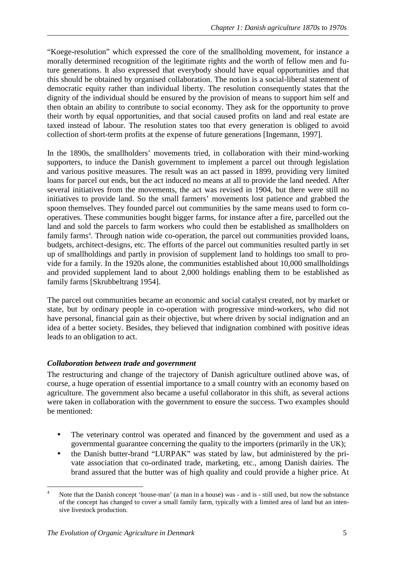"Koege-resolution" which expressed the core of the smallholding movement, for instance a morally determined recognition of the legitimate rights and the worth of fellow men and future generations. It also expressed that everybody should have equal opportunities and that this should be obtained by organised collaboration. The notion is a social-liberal statement of democratic equity rather than individual liberty. The resolution consequently states that the dignity of the individual should be ensured by the provision of means to support him self and then obtain an ability to contribute to social economy. They ask for the opportunity to prove their worth by equal opportunities, and that social caused profits on land and real estate are taxed instead of labour. The resolution states too that every generation is obliged to avoid collection of short-term profits at the expense of future generations [Ingemann, 1997].

In the 1890s, the smallholders' movements tried, in collaboration with their mind-working supporters, to induce the Danish government to implement a parcel out through legislation and various positive measures. The result was an act passed in 1899, providing very limited loans for parcel out ends, but the act induced no means at all to provide the land needed. After several initiatives from the movements, the act was revised in 1904, but there were still no initiatives to provide land. So the small farmers' movements lost patience and grabbed the spoon themselves. They founded parcel out communities by the same means used to form cooperatives. These communities bought bigger farms, for instance after a fire, parcelled out the land and sold the parcels to farm workers who could then be established as smallholders on family farms<sup>4</sup>. Through nation wide co-operation, the parcel out communities provided loans, budgets, architect-designs, etc. The efforts of the parcel out communities resulted partly in set up of smallholdings and partly in provision of supplement land to holdings too small to provide for a family. In the 1920s alone, the communities established about 10,000 smallholdings and provided supplement land to about 2,000 holdings enabling them to be established as family farms [Skrubbeltrang 1954].

The parcel out communities became an economic and social catalyst created, not by market or state, but by ordinary people in co-operation with progressive mind-workers, who did not have personal, financial gain as their objective, but where driven by social indignation and an idea of a better society. Besides, they believed that indignation combined with positive ideas leads to an obligation to act.

### *Collaboration between trade and government*

The restructuring and change of the trajectory of Danish agriculture outlined above was, of course, a huge operation of essential importance to a small country with an economy based on agriculture. The government also became a useful collaborator in this shift, as several actions were taken in collaboration with the government to ensure the success. Two examples should be mentioned:

- The veterinary control was operated and financed by the government and used as a governmental guarantee concerning the quality to the importers (primarily in the UK);
- the Danish butter-brand "LURPAK" was stated by law, but administered by the private association that co-ordinated trade, marketing, etc., among Danish dairies. The brand assured that the butter was of high quality and could provide a higher price. At

 $\overline{a}$ 4 Note that the Danish concept 'house-man' (a man in a house) was - and is - still used, but now the substance of the concept has changed to cover a small family farm, typically with a limited area of land but an intensive livestock production.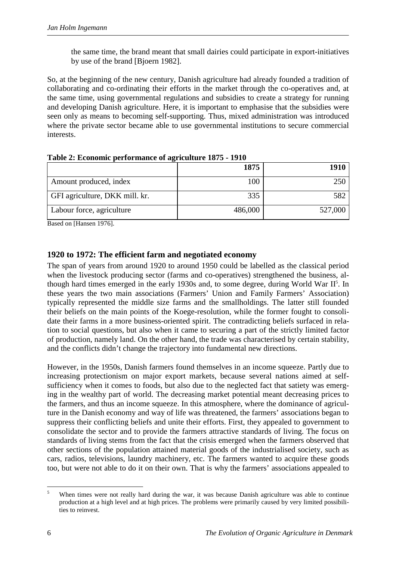the same time, the brand meant that small dairies could participate in export-initiatives by use of the brand [Bjoern 1982].

So, at the beginning of the new century, Danish agriculture had already founded a tradition of collaborating and co-ordinating their efforts in the market through the co-operatives and, at the same time, using governmental regulations and subsidies to create a strategy for running and developing Danish agriculture. Here, it is important to emphasise that the subsidies were seen only as means to becoming self-supporting. Thus, mixed administration was introduced where the private sector became able to use governmental institutions to secure commercial interests.

|                                | 1875    | 1910    |
|--------------------------------|---------|---------|
| Amount produced, index         | 100     | 250     |
| GFI agriculture, DKK mill. kr. | 335     | 582     |
| Labour force, agriculture      | 486,000 | 527,000 |

**Table 2: Economic performance of agriculture 1875 - 1910** 

Based on [Hansen 1976].

#### **1920 to 1972: The efficient farm and negotiated economy**

The span of years from around 1920 to around 1950 could be labelled as the classical period when the livestock producing sector (farms and co-operatives) strengthened the business, although hard times emerged in the early 1930s and, to some degree, during World War II<sup>5</sup>. In these years the two main associations (Farmers' Union and Family Farmers' Association) typically represented the middle size farms and the smallholdings. The latter still founded their beliefs on the main points of the Koege-resolution, while the former fought to consolidate their farms in a more business-oriented spirit. The contradicting beliefs surfaced in relation to social questions, but also when it came to securing a part of the strictly limited factor of production, namely land. On the other hand, the trade was characterised by certain stability, and the conflicts didn't change the trajectory into fundamental new directions.

However, in the 1950s, Danish farmers found themselves in an income squeeze. Partly due to increasing protectionism on major export markets, because several nations aimed at selfsufficiency when it comes to foods, but also due to the neglected fact that satiety was emerging in the wealthy part of world. The decreasing market potential meant decreasing prices to the farmers, and thus an income squeeze. In this atmosphere, where the dominance of agriculture in the Danish economy and way of life was threatened, the farmers' associations began to suppress their conflicting beliefs and unite their efforts. First, they appealed to government to consolidate the sector and to provide the farmers attractive standards of living. The focus on standards of living stems from the fact that the crisis emerged when the farmers observed that other sections of the population attained material goods of the industrialised society, such as cars, radios, televisions, laundry machinery, etc. The farmers wanted to acquire these goods too, but were not able to do it on their own. That is why the farmers' associations appealed to

 5 When times were not really hard during the war, it was because Danish agriculture was able to continue production at a high level and at high prices. The problems were primarily caused by very limited possibilities to reinvest.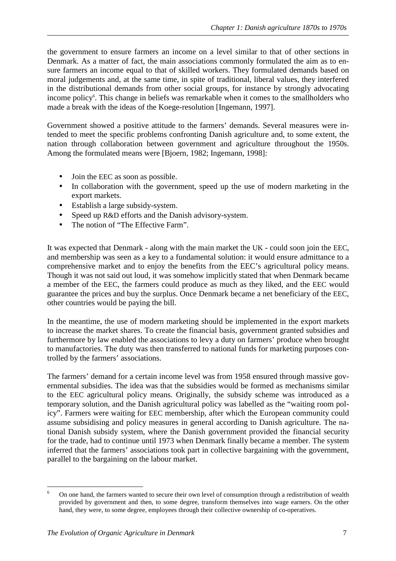the government to ensure farmers an income on a level similar to that of other sections in Denmark. As a matter of fact, the main associations commonly formulated the aim as to ensure farmers an income equal to that of skilled workers. They formulated demands based on moral judgements and, at the same time, in spite of traditional, liberal values, they interfered in the distributional demands from other social groups, for instance by strongly advocating income policy<sup>6</sup>. This change in beliefs was remarkable when it comes to the smallholders who made a break with the ideas of the Koege-resolution [Ingemann, 1997].

Government showed a positive attitude to the farmers' demands. Several measures were intended to meet the specific problems confronting Danish agriculture and, to some extent, the nation through collaboration between government and agriculture throughout the 1950s. Among the formulated means were [Bjoern, 1982; Ingemann, 1998]:

- Join the EEC as soon as possible.
- In collaboration with the government, speed up the use of modern marketing in the export markets.
- Establish a large subsidy-system.
- Speed up R&D efforts and the Danish advisory-system.
- The notion of "The Effective Farm".

It was expected that Denmark - along with the main market the UK - could soon join the EEC, and membership was seen as a key to a fundamental solution: it would ensure admittance to a comprehensive market and to enjoy the benefits from the EEC's agricultural policy means. Though it was not said out loud, it was somehow implicitly stated that when Denmark became a member of the EEC, the farmers could produce as much as they liked, and the EEC would guarantee the prices and buy the surplus. Once Denmark became a net beneficiary of the EEC, other countries would be paying the bill.

In the meantime, the use of modern marketing should be implemented in the export markets to increase the market shares. To create the financial basis, government granted subsidies and furthermore by law enabled the associations to levy a duty on farmers' produce when brought to manufactories. The duty was then transferred to national funds for marketing purposes controlled by the farmers' associations.

The farmers' demand for a certain income level was from 1958 ensured through massive governmental subsidies. The idea was that the subsidies would be formed as mechanisms similar to the EEC agricultural policy means. Originally, the subsidy scheme was introduced as a temporary solution, and the Danish agricultural policy was labelled as the "waiting room policy". Farmers were waiting for EEC membership, after which the European community could assume subsidising and policy measures in general according to Danish agriculture. The national Danish subsidy system, where the Danish government provided the financial security for the trade, had to continue until 1973 when Denmark finally became a member. The system inferred that the farmers' associations took part in collective bargaining with the government, parallel to the bargaining on the labour market.

 $\overline{a}$ 6 On one hand, the farmers wanted to secure their own level of consumption through a redistribution of wealth provided by government and then, to some degree, transform themselves into wage earners. On the other hand, they were, to some degree, employees through their collective ownership of co-operatives.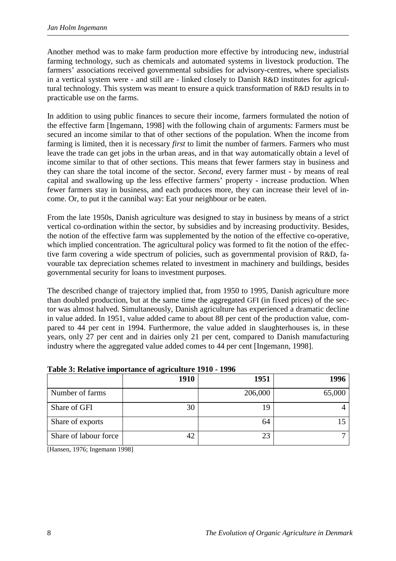Another method was to make farm production more effective by introducing new, industrial farming technology, such as chemicals and automated systems in livestock production. The farmers' associations received governmental subsidies for advisory-centres, where specialists in a vertical system were - and still are - linked closely to Danish R&D institutes for agricultural technology. This system was meant to ensure a quick transformation of R&D results in to practicable use on the farms.

In addition to using public finances to secure their income, farmers formulated the notion of the effective farm [Ingemann, 1998] with the following chain of arguments: Farmers must be secured an income similar to that of other sections of the population. When the income from farming is limited, then it is necessary *first* to limit the number of farmers. Farmers who must leave the trade can get jobs in the urban areas, and in that way automatically obtain a level of income similar to that of other sections. This means that fewer farmers stay in business and they can share the total income of the sector. *Second*, every farmer must - by means of real capital and swallowing up the less effective farmers' property - increase production. When fewer farmers stay in business, and each produces more, they can increase their level of income. Or, to put it the cannibal way: Eat your neighbour or be eaten.

From the late 1950s, Danish agriculture was designed to stay in business by means of a strict vertical co-ordination within the sector, by subsidies and by increasing productivity. Besides, the notion of the effective farm was supplemented by the notion of the effective co-operative, which implied concentration. The agricultural policy was formed to fit the notion of the effective farm covering a wide spectrum of policies, such as governmental provision of R&D, favourable tax depreciation schemes related to investment in machinery and buildings, besides governmental security for loans to investment purposes.

The described change of trajectory implied that, from 1950 to 1995, Danish agriculture more than doubled production, but at the same time the aggregated GFI (in fixed prices) of the sector was almost halved. Simultaneously, Danish agriculture has experienced a dramatic decline in value added. In 1951, value added came to about 88 per cent of the production value, compared to 44 per cent in 1994. Furthermore, the value added in slaughterhouses is, in these years, only 27 per cent and in dairies only 21 per cent, compared to Danish manufacturing industry where the aggregated value added comes to 44 per cent [Ingemann, 1998].

|                       | o<br>1910 | 1951    | 1996   |
|-----------------------|-----------|---------|--------|
| Number of farms       |           | 206,000 | 65,000 |
| Share of GFI          | 30        | 19      |        |
| Share of exports      |           | 64      |        |
| Share of labour force | 42        | 23      |        |

**Table 3: Relative importance of agriculture 1910 - 1996** 

[Hansen, 1976; Ingemann 1998]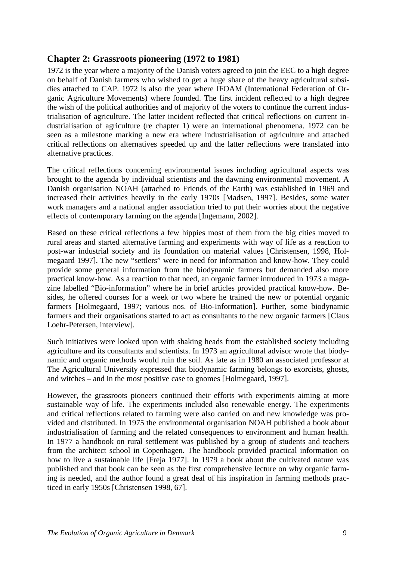## **Chapter 2: Grassroots pioneering (1972 to 1981)**

1972 is the year where a majority of the Danish voters agreed to join the EEC to a high degree on behalf of Danish farmers who wished to get a huge share of the heavy agricultural subsidies attached to CAP. 1972 is also the year where IFOAM (International Federation of Organic Agriculture Movements) where founded. The first incident reflected to a high degree the wish of the political authorities and of majority of the voters to continue the current industrialisation of agriculture. The latter incident reflected that critical reflections on current industrialisation of agriculture (re chapter 1) were an international phenomena. 1972 can be seen as a milestone marking a new era where industrialisation of agriculture and attached critical reflections on alternatives speeded up and the latter reflections were translated into alternative practices.

The critical reflections concerning environmental issues including agricultural aspects was brought to the agenda by individual scientists and the dawning environmental movement. A Danish organisation NOAH (attached to Friends of the Earth) was established in 1969 and increased their activities heavily in the early 1970s [Madsen, 1997]. Besides, some water work managers and a national angler association tried to put their worries about the negative effects of contemporary farming on the agenda [Ingemann, 2002].

Based on these critical reflections a few hippies most of them from the big cities moved to rural areas and started alternative farming and experiments with way of life as a reaction to post-war industrial society and its foundation on material values [Christensen, 1998, Holmegaard 1997]. The new "settlers" were in need for information and know-how. They could provide some general information from the biodynamic farmers but demanded also more practical know-how. As a reaction to that need, an organic farmer introduced in 1973 a magazine labelled "Bio-information" where he in brief articles provided practical know-how. Besides, he offered courses for a week or two where he trained the new or potential organic farmers [Holmegaard, 1997; various nos. of Bio-Information]. Further, some biodynamic farmers and their organisations started to act as consultants to the new organic farmers [Claus Loehr-Petersen, interview].

Such initiatives were looked upon with shaking heads from the established society including agriculture and its consultants and scientists. In 1973 an agricultural advisor wrote that biodynamic and organic methods would ruin the soil. As late as in 1980 an associated professor at The Agricultural University expressed that biodynamic farming belongs to exorcists, ghosts, and witches – and in the most positive case to gnomes [Holmegaard, 1997].

However, the grassroots pioneers continued their efforts with experiments aiming at more sustainable way of life. The experiments included also renewable energy. The experiments and critical reflections related to farming were also carried on and new knowledge was provided and distributed. In 1975 the environmental organisation NOAH published a book about industrialisation of farming and the related consequences to environment and human health. In 1977 a handbook on rural settlement was published by a group of students and teachers from the architect school in Copenhagen. The handbook provided practical information on how to live a sustainable life [Freja 1977]. In 1979 a book about the cultivated nature was published and that book can be seen as the first comprehensive lecture on why organic farming is needed, and the author found a great deal of his inspiration in farming methods practiced in early 1950s [Christensen 1998, 67].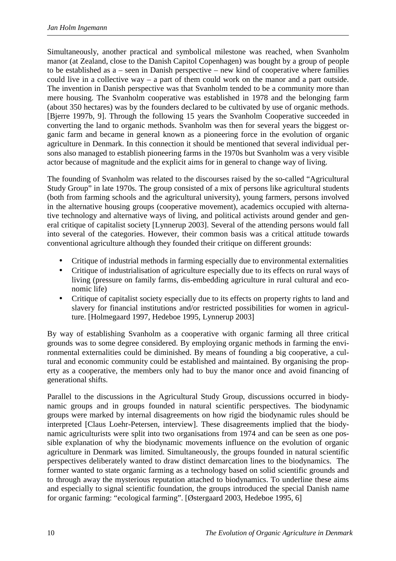Simultaneously, another practical and symbolical milestone was reached, when Svanholm manor (at Zealand, close to the Danish Capitol Copenhagen) was bought by a group of people to be established as a – seen in Danish perspective – new kind of cooperative where families could live in a collective way – a part of them could work on the manor and a part outside. The invention in Danish perspective was that Svanholm tended to be a community more than mere housing. The Svanholm cooperative was established in 1978 and the belonging farm (about 350 hectares) was by the founders declared to be cultivated by use of organic methods. [Bjerre 1997b, 9]. Through the following 15 years the Svanholm Cooperative succeeded in converting the land to organic methods. Svanholm was then for several years the biggest organic farm and became in general known as a pioneering force in the evolution of organic agriculture in Denmark. In this connection it should be mentioned that several individual persons also managed to establish pioneering farms in the 1970s but Svanholm was a very visible actor because of magnitude and the explicit aims for in general to change way of living.

The founding of Svanholm was related to the discourses raised by the so-called "Agricultural Study Group" in late 1970s. The group consisted of a mix of persons like agricultural students (both from farming schools and the agricultural university), young farmers, persons involved in the alternative housing groups (cooperative movement), academics occupied with alternative technology and alternative ways of living, and political activists around gender and general critique of capitalist society [Lynnerup 2003]. Several of the attending persons would fall into several of the categories. However, their common basis was a critical attitude towards conventional agriculture although they founded their critique on different grounds:

- Critique of industrial methods in farming especially due to environmental externalities
- Critique of industrialisation of agriculture especially due to its effects on rural ways of living (pressure on family farms, dis-embedding agriculture in rural cultural and economic life)
- Critique of capitalist society especially due to its effects on property rights to land and slavery for financial institutions and/or restricted possibilities for women in agriculture. [Holmegaard 1997, Hedeboe 1995, Lynnerup 2003]

By way of establishing Svanholm as a cooperative with organic farming all three critical grounds was to some degree considered. By employing organic methods in farming the environmental externalities could be diminished. By means of founding a big cooperative, a cultural and economic community could be established and maintained. By organising the property as a cooperative, the members only had to buy the manor once and avoid financing of generational shifts.

Parallel to the discussions in the Agricultural Study Group, discussions occurred in biodynamic groups and in groups founded in natural scientific perspectives. The biodynamic groups were marked by internal disagreements on how rigid the biodynamic rules should be interpreted [Claus Loehr-Petersen, interview]. These disagreements implied that the biodynamic agriculturists were split into two organisations from 1974 and can be seen as one possible explanation of why the biodynamic movements influence on the evolution of organic agriculture in Denmark was limited. Simultaneously, the groups founded in natural scientific perspectives deliberately wanted to draw distinct demarcation lines to the biodynamics. The former wanted to state organic farming as a technology based on solid scientific grounds and to through away the mysterious reputation attached to biodynamics. To underline these aims and especially to signal scientific foundation, the groups introduced the special Danish name for organic farming: "ecological farming". [Østergaard 2003, Hedeboe 1995, 6]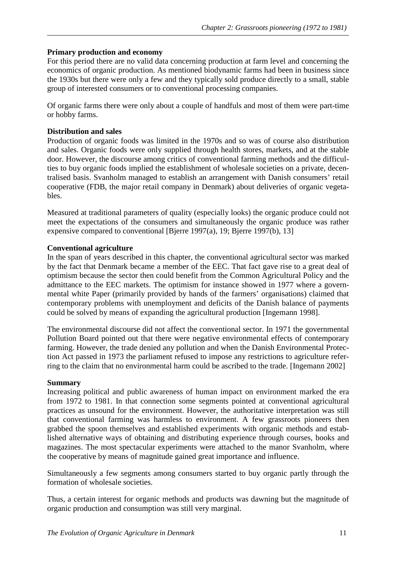#### **Primary production and economy**

For this period there are no valid data concerning production at farm level and concerning the economics of organic production. As mentioned biodynamic farms had been in business since the 1930s but there were only a few and they typically sold produce directly to a small, stable group of interested consumers or to conventional processing companies.

Of organic farms there were only about a couple of handfuls and most of them were part-time or hobby farms.

#### **Distribution and sales**

Production of organic foods was limited in the 1970s and so was of course also distribution and sales. Organic foods were only supplied through health stores, markets, and at the stable door. However, the discourse among critics of conventional farming methods and the difficulties to buy organic foods implied the establishment of wholesale societies on a private, decentralised basis. Svanholm managed to establish an arrangement with Danish consumers' retail cooperative (FDB, the major retail company in Denmark) about deliveries of organic vegetables.

Measured at traditional parameters of quality (especially looks) the organic produce could not meet the expectations of the consumers and simultaneously the organic produce was rather expensive compared to conventional [Bjerre 1997(a), 19; Bjerre 1997(b), 13]

#### **Conventional agriculture**

In the span of years described in this chapter, the conventional agricultural sector was marked by the fact that Denmark became a member of the EEC. That fact gave rise to a great deal of optimism because the sector then could benefit from the Common Agricultural Policy and the admittance to the EEC markets. The optimism for instance showed in 1977 where a governmental white Paper (primarily provided by hands of the farmers' organisations) claimed that contemporary problems with unemployment and deficits of the Danish balance of payments could be solved by means of expanding the agricultural production [Ingemann 1998].

The environmental discourse did not affect the conventional sector. In 1971 the governmental Pollution Board pointed out that there were negative environmental effects of contemporary farming. However, the trade denied any pollution and when the Danish Environmental Protection Act passed in 1973 the parliament refused to impose any restrictions to agriculture referring to the claim that no environmental harm could be ascribed to the trade. [Ingemann 2002]

#### **Summary**

Increasing political and public awareness of human impact on environment marked the era from 1972 to 1981. In that connection some segments pointed at conventional agricultural practices as unsound for the environment. However, the authoritative interpretation was still that conventional farming was harmless to environment. A few grassroots pioneers then grabbed the spoon themselves and established experiments with organic methods and established alternative ways of obtaining and distributing experience through courses, books and magazines. The most spectacular experiments were attached to the manor Svanholm, where the cooperative by means of magnitude gained great importance and influence.

Simultaneously a few segments among consumers started to buy organic partly through the formation of wholesale societies.

Thus, a certain interest for organic methods and products was dawning but the magnitude of organic production and consumption was still very marginal.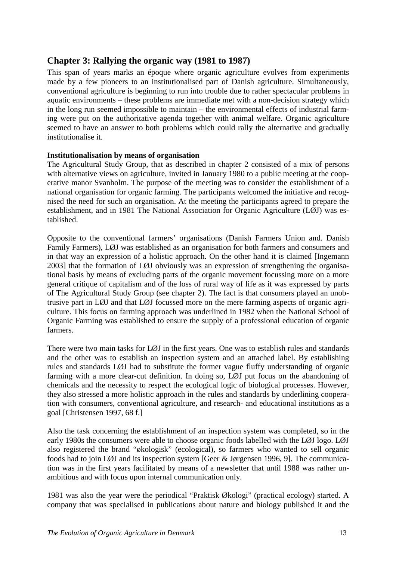## **Chapter 3: Rallying the organic way (1981 to 1987)**

This span of years marks an époque where organic agriculture evolves from experiments made by a few pioneers to an institutionalised part of Danish agriculture. Simultaneously, conventional agriculture is beginning to run into trouble due to rather spectacular problems in aquatic environments – these problems are immediate met with a non-decision strategy which in the long run seemed impossible to maintain – the environmental effects of industrial farming were put on the authoritative agenda together with animal welfare. Organic agriculture seemed to have an answer to both problems which could rally the alternative and gradually institutionalise it.

#### **Institutionalisation by means of organisation**

The Agricultural Study Group, that as described in chapter 2 consisted of a mix of persons with alternative views on agriculture, invited in January 1980 to a public meeting at the cooperative manor Svanholm. The purpose of the meeting was to consider the establishment of a national organisation for organic farming. The participants welcomed the initiative and recognised the need for such an organisation. At the meeting the participants agreed to prepare the establishment, and in 1981 The National Association for Organic Agriculture (LØJ) was established.

Opposite to the conventional farmers' organisations (Danish Farmers Union and. Danish Family Farmers), LØJ was established as an organisation for both farmers and consumers and in that way an expression of a holistic approach. On the other hand it is claimed [Ingemann 2003] that the formation of LØJ obviously was an expression of strengthening the organisational basis by means of excluding parts of the organic movement focussing more on a more general critique of capitalism and of the loss of rural way of life as it was expressed by parts of The Agricultural Study Group (see chapter 2). The fact is that consumers played an unobtrusive part in LØJ and that LØJ focussed more on the mere farming aspects of organic agriculture. This focus on farming approach was underlined in 1982 when the National School of Organic Farming was established to ensure the supply of a professional education of organic farmers.

There were two main tasks for LØJ in the first years. One was to establish rules and standards and the other was to establish an inspection system and an attached label. By establishing rules and standards LØJ had to substitute the former vague fluffy understanding of organic farming with a more clear-cut definition. In doing so, LØJ put focus on the abandoning of chemicals and the necessity to respect the ecological logic of biological processes. However, they also stressed a more holistic approach in the rules and standards by underlining cooperation with consumers, conventional agriculture, and research- and educational institutions as a goal [Christensen 1997, 68 f.]

Also the task concerning the establishment of an inspection system was completed, so in the early 1980s the consumers were able to choose organic foods labelled with the LØJ logo. LØJ also registered the brand "økologisk" (ecological), so farmers who wanted to sell organic foods had to join LØJ and its inspection system [Geer & Jørgensen 1996, 9]. The communication was in the first years facilitated by means of a newsletter that until 1988 was rather unambitious and with focus upon internal communication only.

1981 was also the year were the periodical "Praktisk Økologi" (practical ecology) started. A company that was specialised in publications about nature and biology published it and the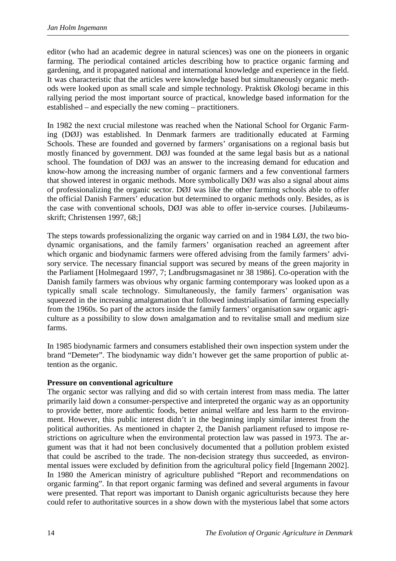editor (who had an academic degree in natural sciences) was one on the pioneers in organic farming. The periodical contained articles describing how to practice organic farming and gardening, and it propagated national and international knowledge and experience in the field. It was characteristic that the articles were knowledge based but simultaneously organic methods were looked upon as small scale and simple technology. Praktisk Økologi became in this rallying period the most important source of practical, knowledge based information for the established – and especially the new coming – practitioners.

In 1982 the next crucial milestone was reached when the National School for Organic Farming (DØJ) was established. In Denmark farmers are traditionally educated at Farming Schools. These are founded and governed by farmers' organisations on a regional basis but mostly financed by government. DØJ was founded at the same legal basis but as a national school. The foundation of DØJ was an answer to the increasing demand for education and know-how among the increasing number of organic farmers and a few conventional farmers that showed interest in organic methods. More symbolically DØJ was also a signal about aims of professionalizing the organic sector. DØJ was like the other farming schools able to offer the official Danish Farmers' education but determined to organic methods only. Besides, as is the case with conventional schools, DØJ was able to offer in-service courses. [Jubilæumsskrift; Christensen 1997, 68;]

The steps towards professionalizing the organic way carried on and in 1984 LØJ, the two biodynamic organisations, and the family farmers' organisation reached an agreement after which organic and biodynamic farmers were offered advising from the family farmers' advisory service. The necessary financial support was secured by means of the green majority in the Parliament [Holmegaard 1997, 7; Landbrugsmagasinet nr 38 1986]. Co-operation with the Danish family farmers was obvious why organic farming contemporary was looked upon as a typically small scale technology. Simultaneously, the family farmers' organisation was squeezed in the increasing amalgamation that followed industrialisation of farming especially from the 1960s. So part of the actors inside the family farmers' organisation saw organic agriculture as a possibility to slow down amalgamation and to revitalise small and medium size farms.

In 1985 biodynamic farmers and consumers established their own inspection system under the brand "Demeter". The biodynamic way didn't however get the same proportion of public attention as the organic.

#### **Pressure on conventional agriculture**

The organic sector was rallying and did so with certain interest from mass media. The latter primarily laid down a consumer-perspective and interpreted the organic way as an opportunity to provide better, more authentic foods, better animal welfare and less harm to the environment. However, this public interest didn't in the beginning imply similar interest from the political authorities. As mentioned in chapter 2, the Danish parliament refused to impose restrictions on agriculture when the environmental protection law was passed in 1973. The argument was that it had not been conclusively documented that a pollution problem existed that could be ascribed to the trade. The non-decision strategy thus succeeded, as environmental issues were excluded by definition from the agricultural policy field [Ingemann 2002]. In 1980 the American ministry of agriculture published "Report and recommendations on organic farming". In that report organic farming was defined and several arguments in favour were presented. That report was important to Danish organic agriculturists because they here could refer to authoritative sources in a show down with the mysterious label that some actors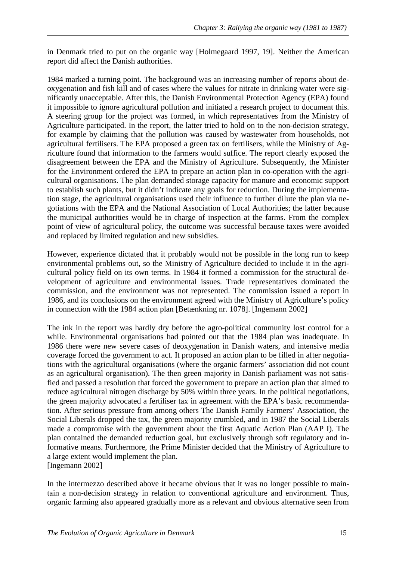in Denmark tried to put on the organic way [Holmegaard 1997, 19]. Neither the American report did affect the Danish authorities.

1984 marked a turning point. The background was an increasing number of reports about deoxygenation and fish kill and of cases where the values for nitrate in drinking water were significantly unacceptable. After this, the Danish Environmental Protection Agency (EPA) found it impossible to ignore agricultural pollution and initiated a research project to document this. A steering group for the project was formed, in which representatives from the Ministry of Agriculture participated. In the report, the latter tried to hold on to the non-decision strategy, for example by claiming that the pollution was caused by wastewater from households, not agricultural fertilisers. The EPA proposed a green tax on fertilisers, while the Ministry of Agriculture found that information to the farmers would suffice. The report clearly exposed the disagreement between the EPA and the Ministry of Agriculture. Subsequently, the Minister for the Environment ordered the EPA to prepare an action plan in co-operation with the agricultural organisations. The plan demanded storage capacity for manure and economic support to establish such plants, but it didn't indicate any goals for reduction. During the implementation stage, the agricultural organisations used their influence to further dilute the plan via negotiations with the EPA and the National Association of Local Authorities; the latter because the municipal authorities would be in charge of inspection at the farms. From the complex point of view of agricultural policy, the outcome was successful because taxes were avoided and replaced by limited regulation and new subsidies.

However, experience dictated that it probably would not be possible in the long run to keep environmental problems out, so the Ministry of Agriculture decided to include it in the agricultural policy field on its own terms. In 1984 it formed a commission for the structural development of agriculture and environmental issues. Trade representatives dominated the commission, and the environment was not represented. The commission issued a report in 1986, and its conclusions on the environment agreed with the Ministry of Agriculture's policy in connection with the 1984 action plan [Betænkning nr. 1078]. [Ingemann 2002]

The ink in the report was hardly dry before the agro-political community lost control for a while. Environmental organisations had pointed out that the 1984 plan was inadequate. In 1986 there were new severe cases of deoxygenation in Danish waters, and intensive media coverage forced the government to act. It proposed an action plan to be filled in after negotiations with the agricultural organisations (where the organic farmers' association did not count as an agricultural organisation). The then green majority in Danish parliament was not satisfied and passed a resolution that forced the government to prepare an action plan that aimed to reduce agricultural nitrogen discharge by 50% within three years. In the political negotiations, the green majority advocated a fertiliser tax in agreement with the EPA's basic recommendation. After serious pressure from among others The Danish Family Farmers' Association, the Social Liberals dropped the tax, the green majority crumbled, and in 1987 the Social Liberals made a compromise with the government about the first Aquatic Action Plan (AAP I). The plan contained the demanded reduction goal, but exclusively through soft regulatory and informative means. Furthermore, the Prime Minister decided that the Ministry of Agriculture to a large extent would implement the plan. [Ingemann 2002]

In the intermezzo described above it became obvious that it was no longer possible to maintain a non-decision strategy in relation to conventional agriculture and environment. Thus, organic farming also appeared gradually more as a relevant and obvious alternative seen from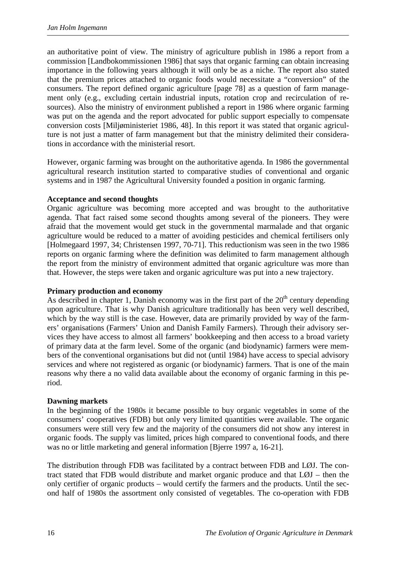an authoritative point of view. The ministry of agriculture publish in 1986 a report from a commission [Landbokommissionen 1986] that says that organic farming can obtain increasing importance in the following years although it will only be as a niche. The report also stated that the premium prices attached to organic foods would necessitate a "conversion" of the consumers. The report defined organic agriculture [page 78] as a question of farm management only (e.g., excluding certain industrial inputs, rotation crop and recirculation of resources). Also the ministry of environment published a report in 1986 where organic farming was put on the agenda and the report advocated for public support especially to compensate conversion costs [Miljøministeriet 1986, 48]. In this report it was stated that organic agriculture is not just a matter of farm management but that the ministry delimited their considerations in accordance with the ministerial resort.

However, organic farming was brought on the authoritative agenda. In 1986 the governmental agricultural research institution started to comparative studies of conventional and organic systems and in 1987 the Agricultural University founded a position in organic farming.

#### **Acceptance and second thoughts**

Organic agriculture was becoming more accepted and was brought to the authoritative agenda. That fact raised some second thoughts among several of the pioneers. They were afraid that the movement would get stuck in the governmental marmalade and that organic agriculture would be reduced to a matter of avoiding pesticides and chemical fertilisers only [Holmegaard 1997, 34; Christensen 1997, 70-71]. This reductionism was seen in the two 1986 reports on organic farming where the definition was delimited to farm management although the report from the ministry of environment admitted that organic agriculture was more than that. However, the steps were taken and organic agriculture was put into a new trajectory.

#### **Primary production and economy**

As described in chapter 1, Danish economy was in the first part of the  $20<sup>th</sup>$  century depending upon agriculture. That is why Danish agriculture traditionally has been very well described, which by the way still is the case. However, data are primarily provided by way of the farmers' organisations (Farmers' Union and Danish Family Farmers). Through their advisory services they have access to almost all farmers' bookkeeping and then access to a broad variety of primary data at the farm level. Some of the organic (and biodynamic) farmers were members of the conventional organisations but did not (until 1984) have access to special advisory services and where not registered as organic (or biodynamic) farmers. That is one of the main reasons why there a no valid data available about the economy of organic farming in this period.

#### **Dawning markets**

In the beginning of the 1980s it became possible to buy organic vegetables in some of the consumers' cooperatives (FDB) but only very limited quantities were available. The organic consumers were still very few and the majority of the consumers did not show any interest in organic foods. The supply vas limited, prices high compared to conventional foods, and there was no or little marketing and general information [Bjerre 1997 a, 16-21].

The distribution through FDB was facilitated by a contract between FDB and LØJ. The contract stated that FDB would distribute and market organic produce and that LØJ – then the only certifier of organic products – would certify the farmers and the products. Until the second half of 1980s the assortment only consisted of vegetables. The co-operation with FDB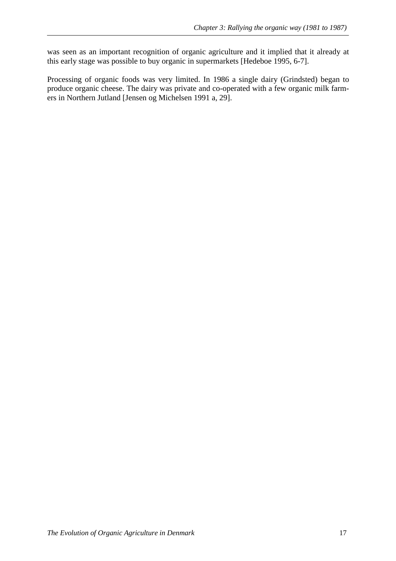was seen as an important recognition of organic agriculture and it implied that it already at this early stage was possible to buy organic in supermarkets [Hedeboe 1995, 6-7].

Processing of organic foods was very limited. In 1986 a single dairy (Grindsted) began to produce organic cheese. The dairy was private and co-operated with a few organic milk farmers in Northern Jutland [Jensen og Michelsen 1991 a, 29].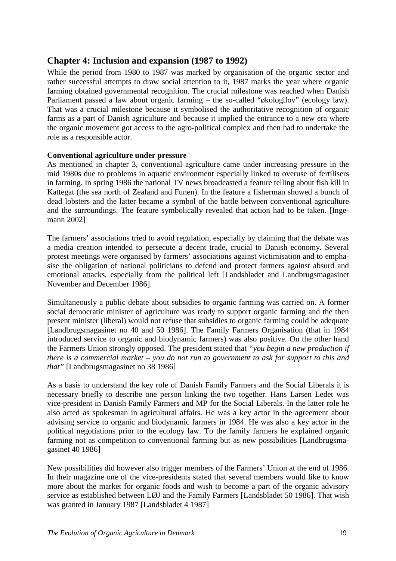## **Chapter 4: Inclusion and expansion (1987 to 1992)**

While the period from 1980 to 1987 was marked by organisation of the organic sector and rather successful attempts to draw social attention to it, 1987 marks the year where organic farming obtained governmental recognition. The crucial milestone was reached when Danish Parliament passed a law about organic farming – the so-called "økologilov" (ecology law). That was a crucial milestone because it symbolised the authoritative recognition of organic farms as a part of Danish agriculture and because it implied the entrance to a new era where the organic movement got access to the agro-political complex and then had to undertake the role as a responsible actor.

#### **Conventional agriculture under pressure**

As mentioned in chapter 3, conventional agriculture came under increasing pressure in the mid 1980s due to problems in aquatic environment especially linked to overuse of fertilisers in farming. In spring 1986 the national TV news broadcasted a feature telling about fish kill in Kattegat (the sea north of Zealand and Funen). In the feature a fisherman showed a bunch of dead lobsters and the latter became a symbol of the battle between conventional agriculture and the surroundings. The feature symbolically revealed that action had to be taken. [Ingemann 2002]

The farmers' associations tried to avoid regulation, especially by claiming that the debate was a media creation intended to persecute a decent trade, crucial to Danish economy. Several protest meetings were organised by farmers' associations against victimisation and to emphasise the obligation of national politicians to defend and protect farmers against absurd and emotional attacks, especially from the political left [Landsbladet and Landbrugsmagasinet November and December 1986].

Simultaneously a public debate about subsidies to organic farming was carried on. A former social democratic minister of agriculture was ready to support organic farming and the then present minister (liberal) would not refuse that subsidies to organic farming could be adequate [Landbrugsmagasinet no 40 and 50 1986]. The Family Farmers Organisation (that in 1984 introduced service to organic and biodynamic farmers) was also positive. On the other hand the Farmers Union strongly opposed. The president stated that *"you begin a new production if there is a commercial market – you do not run to government to ask for support to this and that"* [Landbrugsmagasinet no 38 1986]

As a basis to understand the key role of Danish Family Farmers and the Social Liberals it is necessary briefly to describe one person linking the two together. Hans Larsen Ledet was vice-president in Danish Family Farmers and MP for the Social Liberals. In the latter role he also acted as spokesman in agricultural affairs. He was a key actor in the agreement about advising service to organic and biodynamic farmers in 1984. He was also a key actor in the political negotiations prior to the ecology law. To the family farmers he explained organic farming not as competition to conventional farming but as new possibilities [Landbrugsmagasinet 40 1986]

New possibilities did however also trigger members of the Farmers' Union at the end of 1986. In their magazine one of the vice-presidents stated that several members would like to know more about the market for organic foods and wish to become a part of the organic advisory service as established between LØJ and the Family Farmers [Landsbladet 50 1986]. That wish was granted in January 1987 [Landsbladet 4 1987]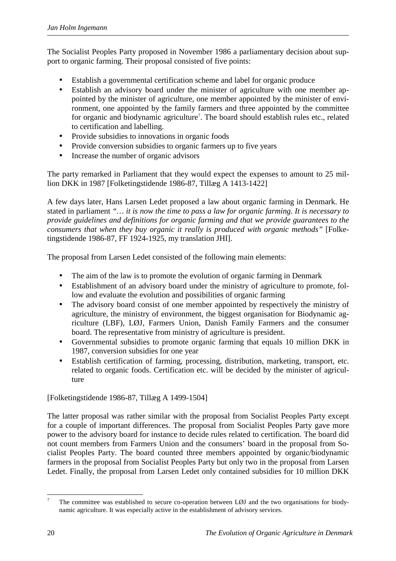The Socialist Peoples Party proposed in November 1986 a parliamentary decision about support to organic farming. Their proposal consisted of five points:

- Establish a governmental certification scheme and label for organic produce
- Establish an advisory board under the minister of agriculture with one member appointed by the minister of agriculture, one member appointed by the minister of environment, one appointed by the family farmers and three appointed by the committee for organic and biodynamic agriculture<sup>7</sup>. The board should establish rules etc., related to certification and labelling.
- Provide subsidies to innovations in organic foods
- Provide conversion subsidies to organic farmers up to five years
- Increase the number of organic advisors

The party remarked in Parliament that they would expect the expenses to amount to 25 million DKK in 1987 [Folketingstidende 1986-87, Tillæg A 1413-1422]

A few days later, Hans Larsen Ledet proposed a law about organic farming in Denmark. He stated in parliament *"… it is now the time to pass a law for organic farming. It is necessary to provide guidelines and definitions for organic farming and that we provide guarantees to the consumers that when they buy organic it really is produced with organic methods"* [Folketingstidende 1986-87, FF 1924-1925, my translation JHI].

The proposal from Larsen Ledet consisted of the following main elements:

- The aim of the law is to promote the evolution of organic farming in Denmark
- Establishment of an advisory board under the ministry of agriculture to promote, follow and evaluate the evolution and possibilities of organic farming
- The advisory board consist of one member appointed by respectively the ministry of agriculture, the ministry of environment, the biggest organisation for Biodynamic agriculture (LBF), LØJ, Farmers Union, Danish Family Farmers and the consumer board. The representative from ministry of agriculture is president.
- Governmental subsidies to promote organic farming that equals 10 million DKK in 1987, conversion subsidies for one year
- Establish certification of farming, processing, distribution, marketing, transport, etc. related to organic foods. Certification etc. will be decided by the minister of agriculture

[Folketingstidende 1986-87, Tillæg A 1499-1504]

The latter proposal was rather similar with the proposal from Socialist Peoples Party except for a couple of important differences. The proposal from Socialist Peoples Party gave more power to the advisory board for instance to decide rules related to certification. The board did not count members from Farmers Union and the consumers' board in the proposal from Socialist Peoples Party. The board counted three members appointed by organic/biodynamic farmers in the proposal from Socialist Peoples Party but only two in the proposal from Larsen Ledet. Finally, the proposal from Larsen Ledet only contained subsidies for 10 million DKK

<sup>-&</sup>lt;br>7 The committee was established to secure co-operation between LØJ and the two organisations for biodynamic agriculture. It was especially active in the establishment of advisory services.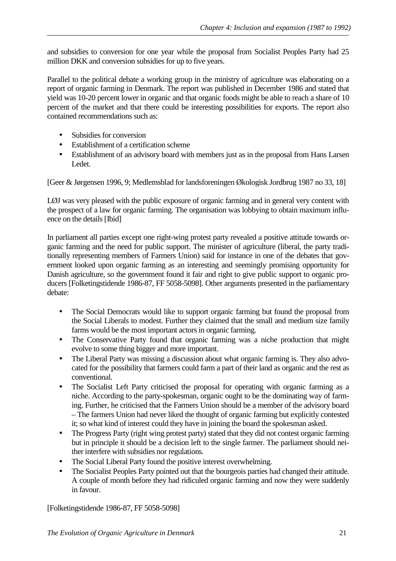and subsidies to conversion for one year while the proposal from Socialist Peoples Party had 25 million DKK and conversion subsidies for up to five years.

Parallel to the political debate a working group in the ministry of agriculture was elaborating on a report of organic farming in Denmark. The report was published in December 1986 and stated that yield was 10-20 percent lower in organic and that organic foods might be able to reach a share of 10 percent of the market and that there could be interesting possibilities for exports. The report also contained recommendations such as:

- Subsidies for conversion
- Establishment of a certification scheme
- Establishment of an advisory board with members just as in the proposal from Hans Larsen Ledet.

[Geer & Jørgensen 1996, 9; Medlemsblad for landsforeningen Økologisk Jordbrug 1987 no 33, 18]

LØJ was very pleased with the public exposure of organic farming and in general very content with the prospect of a law for organic farming. The organisation was lobbying to obtain maximum influence on the details [Ibid]

In parliament all parties except one right-wing protest party revealed a positive attitude towards organic farming and the need for public support. The minister of agriculture (liberal, the party traditionally representing members of Farmers Union) said for instance in one of the debates that government looked upon organic farming as an interesting and seemingly promising opportunity for Danish agriculture, so the government found it fair and right to give public support to organic producers [Folketingstidende 1986-87, FF 5058-5098]. Other arguments presented in the parliamentary debate:

- The Social Democrats would like to support organic farming but found the proposal from the Social Liberals to modest. Further they claimed that the small and medium size family farms would be the most important actors in organic farming.
- The Conservative Party found that organic farming was a niche production that might evolve to some thing bigger and more important.
- The Liberal Party was missing a discussion about what organic farming is. They also advocated for the possibility that farmers could farm a part of their land as organic and the rest as conventional.
- The Socialist Left Party criticised the proposal for operating with organic farming as a niche. According to the party-spokesman, organic ought to be the dominating way of farming. Further, he criticised that the Farmers Union should be a member of the advisory board – The farmers Union had never liked the thought of organic farming but explicitly contested it; so what kind of interest could they have in joining the board the spokesman asked.
- The Progress Party (right wing protest party) stated that they did not contest organic farming but in principle it should be a decision left to the single farmer. The parliament should neither interfere with subsidies nor regulations.
- The Social Liberal Party found the positive interest overwhelming.
- The Socialist Peoples Party pointed out that the bourgeois parties had changed their attitude. A couple of month before they had ridiculed organic farming and now they were suddenly in favour.

[Folketingstidende 1986-87, FF 5058-5098]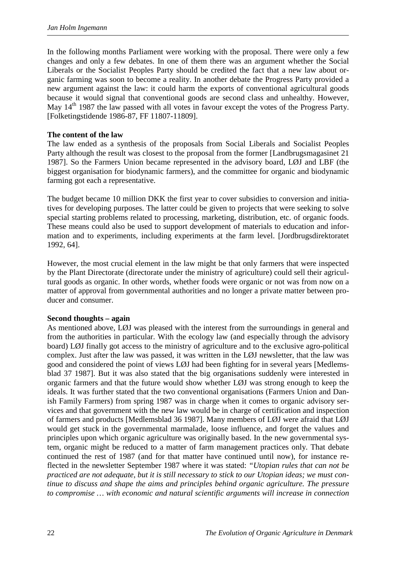In the following months Parliament were working with the proposal. There were only a few changes and only a few debates. In one of them there was an argument whether the Social Liberals or the Socialist Peoples Party should be credited the fact that a new law about organic farming was soon to become a reality. In another debate the Progress Party provided a new argument against the law: it could harm the exports of conventional agricultural goods because it would signal that conventional goods are second class and unhealthy. However, May 14<sup>th</sup> 1987 the law passed with all votes in favour except the votes of the Progress Party. [Folketingstidende 1986-87, FF 11807-11809].

#### **The content of the law**

The law ended as a synthesis of the proposals from Social Liberals and Socialist Peoples Party although the result was closest to the proposal from the former [Landbrugsmagasinet 21 1987]. So the Farmers Union became represented in the advisory board, LØJ and LBF (the biggest organisation for biodynamic farmers), and the committee for organic and biodynamic farming got each a representative.

The budget became 10 million DKK the first year to cover subsidies to conversion and initiatives for developing purposes. The latter could be given to projects that were seeking to solve special starting problems related to processing, marketing, distribution, etc. of organic foods. These means could also be used to support development of materials to education and information and to experiments, including experiments at the farm level. [Jordbrugsdirektoratet 1992, 64].

However, the most crucial element in the law might be that only farmers that were inspected by the Plant Directorate (directorate under the ministry of agriculture) could sell their agricultural goods as organic. In other words, whether foods were organic or not was from now on a matter of approval from governmental authorities and no longer a private matter between producer and consumer.

#### **Second thoughts – again**

As mentioned above, LØJ was pleased with the interest from the surroundings in general and from the authorities in particular. With the ecology law (and especially through the advisory board) LØJ finally got access to the ministry of agriculture and to the exclusive agro-political complex. Just after the law was passed, it was written in the LØJ newsletter, that the law was good and considered the point of views LØJ had been fighting for in several years [Medlemsblad 37 1987]. But it was also stated that the big organisations suddenly were interested in organic farmers and that the future would show whether LØJ was strong enough to keep the ideals. It was further stated that the two conventional organisations (Farmers Union and Danish Family Farmers) from spring 1987 was in charge when it comes to organic advisory services and that government with the new law would be in charge of certification and inspection of farmers and products [Medlemsblad 36 1987]. Many members of LØJ were afraid that LØJ would get stuck in the governmental marmalade, loose influence, and forget the values and principles upon which organic agriculture was originally based. In the new governmental system, organic might be reduced to a matter of farm management practices only. That debate continued the rest of 1987 (and for that matter have continued until now), for instance reflected in the newsletter September 1987 where it was stated: *"Utopian rules that can not be practiced are not adequate, but it is still necessary to stick to our Utopian ideas; we must continue to discuss and shape the aims and principles behind organic agriculture. The pressure to compromise … with economic and natural scientific arguments will increase in connection*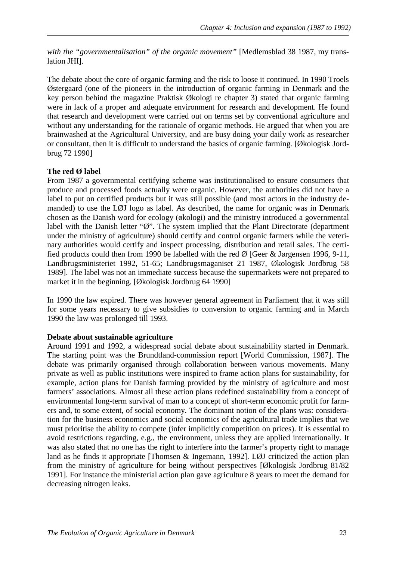*with the "governmentalisation" of the organic movement"* [Medlemsblad 38 1987, my translation JHI].

The debate about the core of organic farming and the risk to loose it continued. In 1990 Troels Østergaard (one of the pioneers in the introduction of organic farming in Denmark and the key person behind the magazine Praktisk Økologi re chapter 3) stated that organic farming were in lack of a proper and adequate environment for research and development. He found that research and development were carried out on terms set by conventional agriculture and without any understanding for the rationale of organic methods. He argued that when you are brainwashed at the Agricultural University, and are busy doing your daily work as researcher or consultant, then it is difficult to understand the basics of organic farming. [Økologisk Jordbrug 72 1990]

#### **The red Ø label**

From 1987 a governmental certifying scheme was institutionalised to ensure consumers that produce and processed foods actually were organic. However, the authorities did not have a label to put on certified products but it was still possible (and most actors in the industry demanded) to use the LØJ logo as label. As described, the name for organic was in Denmark chosen as the Danish word for ecology (økologi) and the ministry introduced a governmental label with the Danish letter "Ø". The system implied that the Plant Directorate (department under the ministry of agriculture) should certify and control organic farmers while the veterinary authorities would certify and inspect processing, distribution and retail sales. The certified products could then from 1990 be labelled with the red Ø [Geer & Jørgensen 1996, 9-11, Landbrugsministeriet 1992, 51-65; Landbrugsmaganiset 21 1987, Økologisk Jordbrug 58 1989]. The label was not an immediate success because the supermarkets were not prepared to market it in the beginning. [Økologisk Jordbrug 64 1990]

In 1990 the law expired. There was however general agreement in Parliament that it was still for some years necessary to give subsidies to conversion to organic farming and in March 1990 the law was prolonged till 1993.

#### **Debate about sustainable agriculture**

Around 1991 and 1992, a widespread social debate about sustainability started in Denmark. The starting point was the Brundtland-commission report [World Commission, 1987]. The debate was primarily organised through collaboration between various movements. Many private as well as public institutions were inspired to frame action plans for sustainability, for example, action plans for Danish farming provided by the ministry of agriculture and most farmers' associations. Almost all these action plans redefined sustainability from a concept of environmental long-term survival of man to a concept of short-term economic profit for farmers and, to some extent, of social economy. The dominant notion of the plans was: consideration for the business economics and social economics of the agricultural trade implies that we must prioritise the ability to compete (infer implicitly competition on prices). It is essential to avoid restrictions regarding, e.g., the environment, unless they are applied internationally. It was also stated that no one has the right to interfere into the farmer's property right to manage land as he finds it appropriate [Thomsen & Ingemann, 1992]. LØJ criticized the action plan from the ministry of agriculture for being without perspectives [Økologisk Jordbrug 81/82 1991]. For instance the ministerial action plan gave agriculture 8 years to meet the demand for decreasing nitrogen leaks.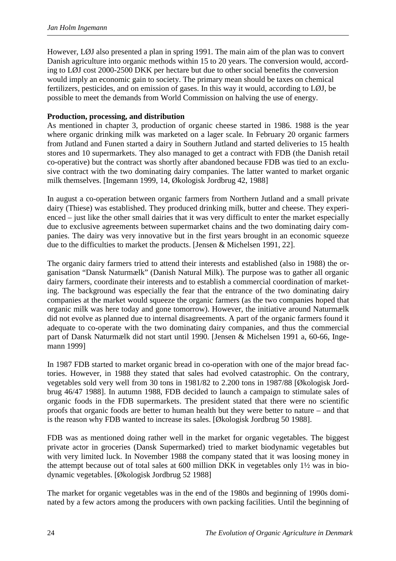However, LØJ also presented a plan in spring 1991. The main aim of the plan was to convert Danish agriculture into organic methods within 15 to 20 years. The conversion would, according to LØJ cost 2000-2500 DKK per hectare but due to other social benefits the conversion would imply an economic gain to society. The primary mean should be taxes on chemical fertilizers, pesticides, and on emission of gases. In this way it would, according to LØJ, be possible to meet the demands from World Commission on halving the use of energy.

#### **Production, processing, and distribution**

As mentioned in chapter 3, production of organic cheese started in 1986. 1988 is the year where organic drinking milk was marketed on a lager scale. In February 20 organic farmers from Jutland and Funen started a dairy in Southern Jutland and started deliveries to 15 health stores and 10 supermarkets. They also managed to get a contract with FDB (the Danish retail co-operative) but the contract was shortly after abandoned because FDB was tied to an exclusive contract with the two dominating dairy companies. The latter wanted to market organic milk themselves. [Ingemann 1999, 14, Økologisk Jordbrug 42, 1988]

In august a co-operation between organic farmers from Northern Jutland and a small private dairy (Thiese) was established. They produced drinking milk, butter and cheese. They experienced – just like the other small dairies that it was very difficult to enter the market especially due to exclusive agreements between supermarket chains and the two dominating dairy companies. The dairy was very innovative but in the first years brought in an economic squeeze due to the difficulties to market the products. [Jensen & Michelsen 1991, 22].

The organic dairy farmers tried to attend their interests and established (also in 1988) the organisation "Dansk Naturmælk" (Danish Natural Milk). The purpose was to gather all organic dairy farmers, coordinate their interests and to establish a commercial coordination of marketing. The background was especially the fear that the entrance of the two dominating dairy companies at the market would squeeze the organic farmers (as the two companies hoped that organic milk was here today and gone tomorrow). However, the initiative around Naturmælk did not evolve as planned due to internal disagreements. A part of the organic farmers found it adequate to co-operate with the two dominating dairy companies, and thus the commercial part of Dansk Naturmælk did not start until 1990. [Jensen & Michelsen 1991 a, 60-66, Ingemann 1999]

In 1987 FDB started to market organic bread in co-operation with one of the major bread factories. However, in 1988 they stated that sales had evolved catastrophic. On the contrary, vegetables sold very well from 30 tons in 1981/82 to 2.200 tons in 1987/88 [Økologisk Jordbrug 46/47 1988]. In autumn 1988, FDB decided to launch a campaign to stimulate sales of organic foods in the FDB supermarkets. The president stated that there were no scientific proofs that organic foods are better to human health but they were better to nature – and that is the reason why FDB wanted to increase its sales. [Økologisk Jordbrug 50 1988].

FDB was as mentioned doing rather well in the market for organic vegetables. The biggest private actor in groceries (Dansk Supermarked) tried to market biodynamic vegetables but with very limited luck. In November 1988 the company stated that it was loosing money in the attempt because out of total sales at 600 million DKK in vegetables only 1½ was in biodynamic vegetables. [Økologisk Jordbrug 52 1988]

The market for organic vegetables was in the end of the 1980s and beginning of 1990s dominated by a few actors among the producers with own packing facilities. Until the beginning of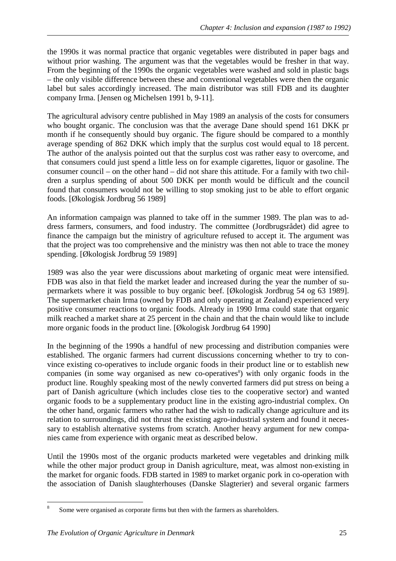the 1990s it was normal practice that organic vegetables were distributed in paper bags and without prior washing. The argument was that the vegetables would be fresher in that way. From the beginning of the 1990s the organic vegetables were washed and sold in plastic bags – the only visible difference between these and conventional vegetables were then the organic label but sales accordingly increased. The main distributor was still FDB and its daughter company Irma. [Jensen og Michelsen 1991 b, 9-11].

The agricultural advisory centre published in May 1989 an analysis of the costs for consumers who bought organic. The conclusion was that the average Dane should spend 161 DKK pr month if he consequently should buy organic. The figure should be compared to a monthly average spending of 862 DKK which imply that the surplus cost would equal to 18 percent. The author of the analysis pointed out that the surplus cost was rather easy to overcome, and that consumers could just spend a little less on for example cigarettes, liquor or gasoline. The consumer council – on the other hand – did not share this attitude. For a family with two children a surplus spending of about 500 DKK per month would be difficult and the council found that consumers would not be willing to stop smoking just to be able to effort organic foods. [Økologisk Jordbrug 56 1989]

An information campaign was planned to take off in the summer 1989. The plan was to address farmers, consumers, and food industry. The committee (Jordbrugsrådet) did agree to finance the campaign but the ministry of agriculture refused to accept it. The argument was that the project was too comprehensive and the ministry was then not able to trace the money spending. [Økologisk Jordbrug 59 1989]

1989 was also the year were discussions about marketing of organic meat were intensified. FDB was also in that field the market leader and increased during the year the number of supermarkets where it was possible to buy organic beef. [Økologisk Jordbrug 54 og 63 1989]. The supermarket chain Irma (owned by FDB and only operating at Zealand) experienced very positive consumer reactions to organic foods. Already in 1990 Irma could state that organic milk reached a market share at 25 percent in the chain and that the chain would like to include more organic foods in the product line. [Økologisk Jordbrug 64 1990]

In the beginning of the 1990s a handful of new processing and distribution companies were established. The organic farmers had current discussions concerning whether to try to convince existing co-operatives to include organic foods in their product line or to establish new companies (in some way organised as new co-operatives<sup>8</sup>) with only organic foods in the product line. Roughly speaking most of the newly converted farmers did put stress on being a part of Danish agriculture (which includes close ties to the cooperative sector) and wanted organic foods to be a supplementary product line in the existing agro-industrial complex. On the other hand, organic farmers who rather had the wish to radically change agriculture and its relation to surroundings, did not thrust the existing agro-industrial system and found it necessary to establish alternative systems from scratch. Another heavy argument for new companies came from experience with organic meat as described below.

Until the 1990s most of the organic products marketed were vegetables and drinking milk while the other major product group in Danish agriculture, meat, was almost non-existing in the market for organic foods. FDB started in 1989 to market organic pork in co-operation with the association of Danish slaughterhouses (Danske Slagterier) and several organic farmers

 $\overline{a}$ 

<sup>8</sup> Some were organised as corporate firms but then with the farmers as shareholders.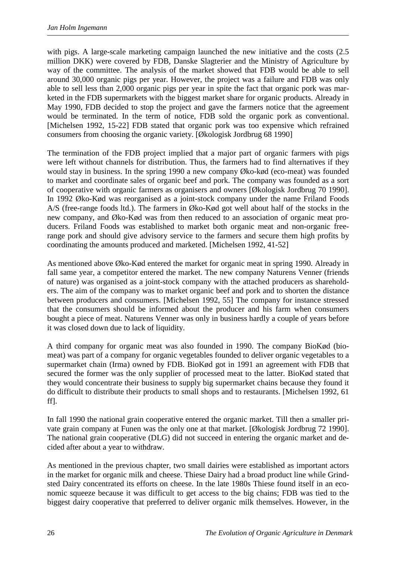with pigs. A large-scale marketing campaign launched the new initiative and the costs (2.5) million DKK) were covered by FDB, Danske Slagterier and the Ministry of Agriculture by way of the committee. The analysis of the market showed that FDB would be able to sell around 30,000 organic pigs per year. However, the project was a failure and FDB was only able to sell less than 2,000 organic pigs per year in spite the fact that organic pork was marketed in the FDB supermarkets with the biggest market share for organic products. Already in May 1990, FDB decided to stop the project and gave the farmers notice that the agreement would be terminated. In the term of notice, FDB sold the organic pork as conventional. [Michelsen 1992, 15-22] FDB stated that organic pork was too expensive which refrained consumers from choosing the organic variety. [Økologisk Jordbrug 68 1990]

The termination of the FDB project implied that a major part of organic farmers with pigs were left without channels for distribution. Thus, the farmers had to find alternatives if they would stay in business. In the spring 1990 a new company Øko-kød (eco-meat) was founded to market and coordinate sales of organic beef and pork. The company was founded as a sort of cooperative with organic farmers as organisers and owners [Økologisk Jordbrug 70 1990]. In 1992 Øko-Kød was reorganised as a joint-stock company under the name Friland Foods A/S (free-range foods ltd.). The farmers in Øko-Kød got well about half of the stocks in the new company, and Øko-Kød was from then reduced to an association of organic meat producers. Friland Foods was established to market both organic meat and non-organic freerange pork and should give advisory service to the farmers and secure them high profits by coordinating the amounts produced and marketed. [Michelsen 1992, 41-52]

As mentioned above Øko-Kød entered the market for organic meat in spring 1990. Already in fall same year, a competitor entered the market. The new company Naturens Venner (friends of nature) was organised as a joint-stock company with the attached producers as shareholders. The aim of the company was to market organic beef and pork and to shorten the distance between producers and consumers. [Michelsen 1992, 55] The company for instance stressed that the consumers should be informed about the producer and his farm when consumers bought a piece of meat. Naturens Venner was only in business hardly a couple of years before it was closed down due to lack of liquidity.

A third company for organic meat was also founded in 1990. The company BioKød (biomeat) was part of a company for organic vegetables founded to deliver organic vegetables to a supermarket chain (Irma) owned by FDB. BioKød got in 1991 an agreement with FDB that secured the former was the only supplier of processed meat to the latter. BioKød stated that they would concentrate their business to supply big supermarket chains because they found it do difficult to distribute their products to small shops and to restaurants. [Michelsen 1992, 61 ff].

In fall 1990 the national grain cooperative entered the organic market. Till then a smaller private grain company at Funen was the only one at that market. [Økologisk Jordbrug 72 1990]. The national grain cooperative (DLG) did not succeed in entering the organic market and decided after about a year to withdraw.

As mentioned in the previous chapter, two small dairies were established as important actors in the market for organic milk and cheese. Thiese Dairy had a broad product line while Grindsted Dairy concentrated its efforts on cheese. In the late 1980s Thiese found itself in an economic squeeze because it was difficult to get access to the big chains; FDB was tied to the biggest dairy cooperative that preferred to deliver organic milk themselves. However, in the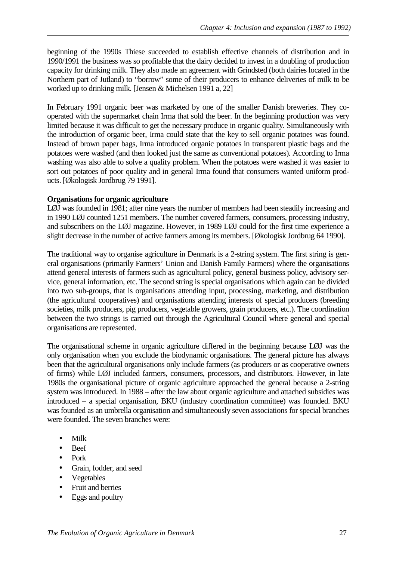beginning of the 1990s Thiese succeeded to establish effective channels of distribution and in 1990/1991 the business was so profitable that the dairy decided to invest in a doubling of production capacity for drinking milk. They also made an agreement with Grindsted (both dairies located in the Northern part of Jutland) to "borrow" some of their producers to enhance deliveries of milk to be worked up to drinking milk. [Jensen & Michelsen 1991 a, 22]

In February 1991 organic beer was marketed by one of the smaller Danish breweries. They cooperated with the supermarket chain Irma that sold the beer. In the beginning production was very limited because it was difficult to get the necessary produce in organic quality. Simultaneously with the introduction of organic beer, Irma could state that the key to sell organic potatoes was found. Instead of brown paper bags, Irma introduced organic potatoes in transparent plastic bags and the potatoes were washed (and then looked just the same as conventional potatoes). According to Irma washing was also able to solve a quality problem. When the potatoes were washed it was easier to sort out potatoes of poor quality and in general Irma found that consumers wanted uniform products. [Økologisk Jordbrug 79 1991].

#### **Organisations for organic agriculture**

LØJ was founded in 1981; after nine years the number of members had been steadily increasing and in 1990 LØJ counted 1251 members. The number covered farmers, consumers, processing industry, and subscribers on the LØJ magazine. However, in 1989 LØJ could for the first time experience a slight decrease in the number of active farmers among its members. [Økologisk Jordbrug 64 1990].

The traditional way to organise agriculture in Denmark is a 2-string system. The first string is general organisations (primarily Farmers' Union and Danish Family Farmers) where the organisations attend general interests of farmers such as agricultural policy, general business policy, advisory service, general information, etc. The second string is special organisations which again can be divided into two sub-groups, that is organisations attending input, processing, marketing, and distribution (the agricultural cooperatives) and organisations attending interests of special producers (breeding societies, milk producers, pig producers, vegetable growers, grain producers, etc.). The coordination between the two strings is carried out through the Agricultural Council where general and special organisations are represented.

The organisational scheme in organic agriculture differed in the beginning because LØJ was the only organisation when you exclude the biodynamic organisations. The general picture has always been that the agricultural organisations only include farmers (as producers or as cooperative owners of firms) while LØJ included farmers, consumers, processors, and distributors. However, in late 1980s the organisational picture of organic agriculture approached the general because a 2-string system was introduced. In 1988 – after the law about organic agriculture and attached subsidies was introduced – a special organisation, BKU (industry coordination committee) was founded. BKU was founded as an umbrella organisation and simultaneously seven associations for special branches were founded. The seven branches were:

- Milk
- Beef
- Pork
- Grain, fodder, and seed
- Vegetables
- Fruit and berries
- Eggs and poultry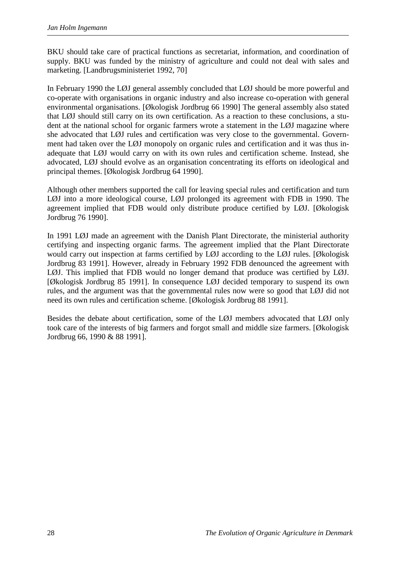BKU should take care of practical functions as secretariat, information, and coordination of supply. BKU was funded by the ministry of agriculture and could not deal with sales and marketing. [Landbrugsministeriet 1992, 70]

In February 1990 the LØJ general assembly concluded that LØJ should be more powerful and co-operate with organisations in organic industry and also increase co-operation with general environmental organisations. [Økologisk Jordbrug 66 1990] The general assembly also stated that LØJ should still carry on its own certification. As a reaction to these conclusions, a student at the national school for organic farmers wrote a statement in the LØJ magazine where she advocated that LØJ rules and certification was very close to the governmental. Government had taken over the LØJ monopoly on organic rules and certification and it was thus inadequate that LØJ would carry on with its own rules and certification scheme. Instead, she advocated, LØJ should evolve as an organisation concentrating its efforts on ideological and principal themes. [Økologisk Jordbrug 64 1990].

Although other members supported the call for leaving special rules and certification and turn LØJ into a more ideological course, LØJ prolonged its agreement with FDB in 1990. The agreement implied that FDB would only distribute produce certified by LØJ. [Økologisk Jordbrug 76 1990].

In 1991 LØJ made an agreement with the Danish Plant Directorate, the ministerial authority certifying and inspecting organic farms. The agreement implied that the Plant Directorate would carry out inspection at farms certified by LØJ according to the LØJ rules. [Økologisk] Jordbrug 83 1991]. However, already in February 1992 FDB denounced the agreement with LØJ. This implied that FDB would no longer demand that produce was certified by LØJ. [Økologisk Jordbrug 85 1991]. In consequence LØJ decided temporary to suspend its own rules, and the argument was that the governmental rules now were so good that LØJ did not need its own rules and certification scheme. [Økologisk Jordbrug 88 1991].

Besides the debate about certification, some of the LØJ members advocated that LØJ only took care of the interests of big farmers and forgot small and middle size farmers. [Økologisk Jordbrug 66, 1990 & 88 1991].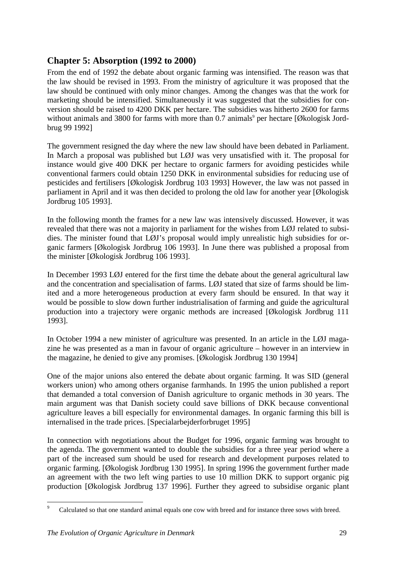## **Chapter 5: Absorption (1992 to 2000)**

From the end of 1992 the debate about organic farming was intensified. The reason was that the law should be revised in 1993. From the ministry of agriculture it was proposed that the law should be continued with only minor changes. Among the changes was that the work for marketing should be intensified. Simultaneously it was suggested that the subsidies for conversion should be raised to 4200 DKK per hectare. The subsidies was hitherto 2600 for farms without animals and 3800 for farms with more than 0.7 animals<sup>9</sup> per hectare [Økologisk Jordbrug 99 1992]

The government resigned the day where the new law should have been debated in Parliament. In March a proposal was published but LØJ was very unsatisfied with it. The proposal for instance would give 400 DKK per hectare to organic farmers for avoiding pesticides while conventional farmers could obtain 1250 DKK in environmental subsidies for reducing use of pesticides and fertilisers [Økologisk Jordbrug 103 1993] However, the law was not passed in parliament in April and it was then decided to prolong the old law for another year [Økologisk Jordbrug 105 1993].

In the following month the frames for a new law was intensively discussed. However, it was revealed that there was not a majority in parliament for the wishes from LØJ related to subsidies. The minister found that LØJ's proposal would imply unrealistic high subsidies for organic farmers [Økologisk Jordbrug 106 1993]. In June there was published a proposal from the minister [Økologisk Jordbrug 106 1993].

In December 1993 LØJ entered for the first time the debate about the general agricultural law and the concentration and specialisation of farms. LØJ stated that size of farms should be limited and a more heterogeneous production at every farm should be ensured. In that way it would be possible to slow down further industrialisation of farming and guide the agricultural production into a trajectory were organic methods are increased [Økologisk Jordbrug 111 1993].

In October 1994 a new minister of agriculture was presented. In an article in the LØJ magazine he was presented as a man in favour of organic agriculture – however in an interview in the magazine, he denied to give any promises. [Økologisk Jordbrug 130 1994]

One of the major unions also entered the debate about organic farming. It was SID (general workers union) who among others organise farmhands. In 1995 the union published a report that demanded a total conversion of Danish agriculture to organic methods in 30 years. The main argument was that Danish society could save billions of DKK because conventional agriculture leaves a bill especially for environmental damages. In organic farming this bill is internalised in the trade prices. [Specialarbejderforbruget 1995]

In connection with negotiations about the Budget for 1996, organic farming was brought to the agenda. The government wanted to double the subsidies for a three year period where a part of the increased sum should be used for research and development purposes related to organic farming. [Økologisk Jordbrug 130 1995]. In spring 1996 the government further made an agreement with the two left wing parties to use 10 million DKK to support organic pig production [Økologisk Jordbrug 137 1996]. Further they agreed to subsidise organic plant

 $\overline{a}$ 

<sup>9</sup> Calculated so that one standard animal equals one cow with breed and for instance three sows with breed.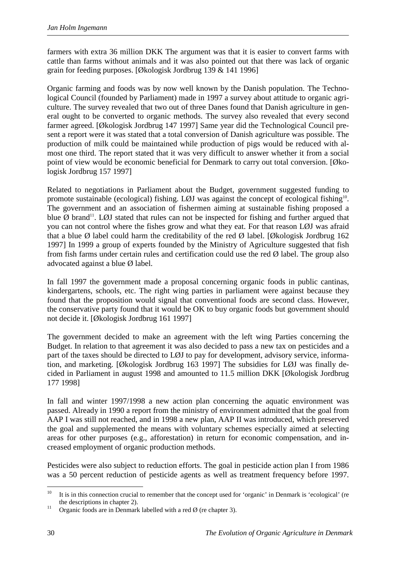farmers with extra 36 million DKK The argument was that it is easier to convert farms with cattle than farms without animals and it was also pointed out that there was lack of organic grain for feeding purposes. [Økologisk Jordbrug 139 & 141 1996]

Organic farming and foods was by now well known by the Danish population. The Technological Council (founded by Parliament) made in 1997 a survey about attitude to organic agriculture. The survey revealed that two out of three Danes found that Danish agriculture in general ought to be converted to organic methods. The survey also revealed that every second farmer agreed. [Økologisk Jordbrug 147 1997] Same year did the Technological Council present a report were it was stated that a total conversion of Danish agriculture was possible. The production of milk could be maintained while production of pigs would be reduced with almost one third. The report stated that it was very difficult to answer whether it from a social point of view would be economic beneficial for Denmark to carry out total conversion. [Økologisk Jordbrug 157 1997]

Related to negotiations in Parliament about the Budget, government suggested funding to promote sustainable (ecological) fishing. LØJ was against the concept of ecological fishing<sup>10</sup>. The government and an association of fishermen aiming at sustainable fishing proposed a blue  $\emptyset$  brand<sup>11</sup>. L $\emptyset$ J stated that rules can not be inspected for fishing and further argued that you can not control where the fishes grow and what they eat. For that reason LØJ was afraid that a blue  $\emptyset$  label could harm the creditability of the red  $\emptyset$  label. [Økologisk Jordbrug 162 1997] In 1999 a group of experts founded by the Ministry of Agriculture suggested that fish from fish farms under certain rules and certification could use the red  $\emptyset$  label. The group also advocated against a blue Ø label.

In fall 1997 the government made a proposal concerning organic foods in public cantinas, kindergartens, schools, etc. The right wing parties in parliament were against because they found that the proposition would signal that conventional foods are second class. However, the conservative party found that it would be OK to buy organic foods but government should not decide it. [Økologisk Jordbrug 161 1997]

The government decided to make an agreement with the left wing Parties concerning the Budget. In relation to that agreement it was also decided to pass a new tax on pesticides and a part of the taxes should be directed to LØJ to pay for development, advisory service, information, and marketing. [Økologisk Jordbrug 163 1997] The subsidies for LØJ was finally decided in Parliament in august 1998 and amounted to 11.5 million DKK [Økologisk Jordbrug 177 1998]

In fall and winter 1997/1998 a new action plan concerning the aquatic environment was passed. Already in 1990 a report from the ministry of environment admitted that the goal from AAP I was still not reached, and in 1998 a new plan, AAP II was introduced, which preserved the goal and supplemented the means with voluntary schemes especially aimed at selecting areas for other purposes (e.g., afforestation) in return for economic compensation, and increased employment of organic production methods.

Pesticides were also subject to reduction efforts. The goal in pesticide action plan I from 1986 was a 50 percent reduction of pesticide agents as well as treatment frequency before 1997.

 $10<sup>10</sup>$ It is in this connection crucial to remember that the concept used for 'organic' in Denmark is 'ecological' (re the descriptions in chapter 2).<br><sup>11</sup> Organic foods are in Denmark labelled with a red  $\emptyset$  (re chapter 3).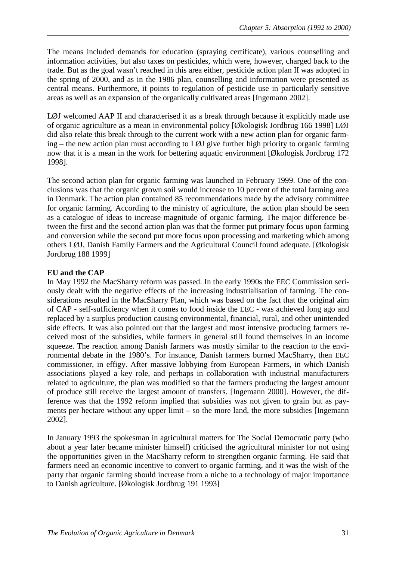The means included demands for education (spraying certificate), various counselling and information activities, but also taxes on pesticides, which were, however, charged back to the trade. But as the goal wasn't reached in this area either, pesticide action plan II was adopted in the spring of 2000, and as in the 1986 plan, counselling and information were presented as central means. Furthermore, it points to regulation of pesticide use in particularly sensitive areas as well as an expansion of the organically cultivated areas [Ingemann 2002].

LØJ welcomed AAP II and characterised it as a break through because it explicitly made use of organic agriculture as a mean in environmental policy [Økologisk Jordbrug 166 1998] LØJ did also relate this break through to the current work with a new action plan for organic farming – the new action plan must according to LØJ give further high priority to organic farming now that it is a mean in the work for bettering aquatic environment [Økologisk Jordbrug 172 1998].

The second action plan for organic farming was launched in February 1999. One of the conclusions was that the organic grown soil would increase to 10 percent of the total farming area in Denmark. The action plan contained 85 recommendations made by the advisory committee for organic farming. According to the ministry of agriculture, the action plan should be seen as a catalogue of ideas to increase magnitude of organic farming. The major difference between the first and the second action plan was that the former put primary focus upon farming and conversion while the second put more focus upon processing and marketing which among others LØJ, Danish Family Farmers and the Agricultural Council found adequate. [Økologisk Jordbrug 188 1999]

#### **EU and the CAP**

In May 1992 the MacSharry reform was passed. In the early 1990s the EEC Commission seriously dealt with the negative effects of the increasing industrialisation of farming. The considerations resulted in the MacSharry Plan, which was based on the fact that the original aim of CAP - self-sufficiency when it comes to food inside the EEC - was achieved long ago and replaced by a surplus production causing environmental, financial, rural, and other unintended side effects. It was also pointed out that the largest and most intensive producing farmers received most of the subsidies, while farmers in general still found themselves in an income squeeze. The reaction among Danish farmers was mostly similar to the reaction to the environmental debate in the 1980's. For instance, Danish farmers burned MacSharry, then EEC commissioner, in effigy. After massive lobbying from European Farmers, in which Danish associations played a key role, and perhaps in collaboration with industrial manufacturers related to agriculture, the plan was modified so that the farmers producing the largest amount of produce still receive the largest amount of transfers. [Ingemann 2000]. However, the difference was that the 1992 reform implied that subsidies was not given to grain but as payments per hectare without any upper limit – so the more land, the more subsidies [Ingemann 2002].

In January 1993 the spokesman in agricultural matters for The Social Democratic party (who about a year later became minister himself) criticised the agricultural minister for not using the opportunities given in the MacSharry reform to strengthen organic farming. He said that farmers need an economic incentive to convert to organic farming, and it was the wish of the party that organic farming should increase from a niche to a technology of major importance to Danish agriculture. [Økologisk Jordbrug 191 1993]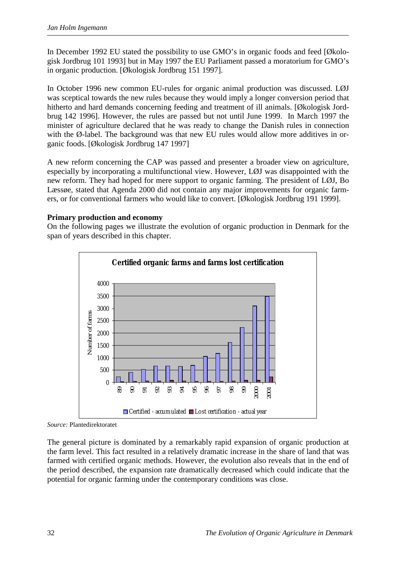In December 1992 EU stated the possibility to use GMO's in organic foods and feed [Økologisk Jordbrug 101 1993] but in May 1997 the EU Parliament passed a moratorium for GMO's in organic production. [Økologisk Jordbrug 151 1997].

In October 1996 new common EU-rules for organic animal production was discussed. LØJ was sceptical towards the new rules because they would imply a longer conversion period that hitherto and hard demands concerning feeding and treatment of ill animals. [Økologisk Jordbrug 142 1996]. However, the rules are passed but not until June 1999. In March 1997 the minister of agriculture declared that he was ready to change the Danish rules in connection with the Ø-label. The background was that new EU rules would allow more additives in organic foods. [Økologisk Jordbrug 147 1997]

A new reform concerning the CAP was passed and presenter a broader view on agriculture, especially by incorporating a multifunctional view. However, LØJ was disappointed with the new reform. They had hoped for mere support to organic farming. The president of LØJ, Bo Læssøe, stated that Agenda 2000 did not contain any major improvements for organic farmers, or for conventional farmers who would like to convert. [Økologisk Jordbrug 191 1999].

#### **Primary production and economy**

On the following pages we illustrate the evolution of organic production in Denmark for the span of years described in this chapter.



*Source:* Plantedirektoratet

The general picture is dominated by a remarkably rapid expansion of organic production at the farm level. This fact resulted in a relatively dramatic increase in the share of land that was farmed with certified organic methods. However, the evolution also reveals that in the end of the period described, the expansion rate dramatically decreased which could indicate that the potential for organic farming under the contemporary conditions was close.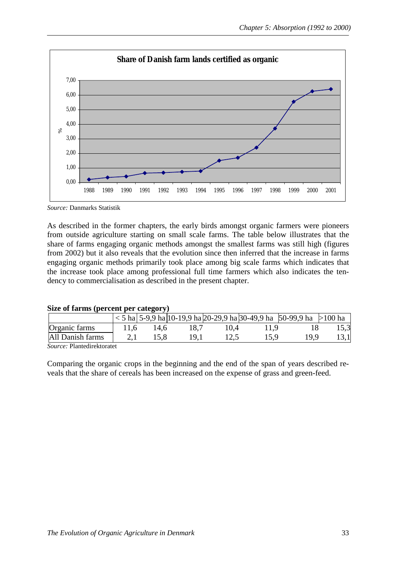

*Source:* Danmarks Statistik

As described in the former chapters, the early birds amongst organic farmers were pioneers from outside agriculture starting on small scale farms. The table below illustrates that the share of farms engaging organic methods amongst the smallest farms was still high (figures from 2002) but it also reveals that the evolution since then inferred that the increase in farms engaging organic methods primarily took place among big scale farms which indicates that the increase took place among professional full time farmers which also indicates the tendency to commercialisation as described in the present chapter.

#### **Size of farms (percent per category)**

|                             |      |      |      |      |      | $\leq$ 5 ha 5-9.9 ha 10-19.9 ha 20-29.9 ha 30-49.9 ha 50-99.9 ha $>100$ ha |      |
|-----------------------------|------|------|------|------|------|----------------------------------------------------------------------------|------|
| Organic farms               | 11.6 | 14.6 | 18.7 | 10.4 | 11.9 |                                                                            | 15,3 |
| All Danish farms            |      | 15.8 | 19.1 |      |      | 19.9                                                                       | 13,1 |
| Course Dlopteding transfect |      |      |      |      |      |                                                                            |      |

*Source:* Plantedirektoratet

Comparing the organic crops in the beginning and the end of the span of years described reveals that the share of cereals has been increased on the expense of grass and green-feed.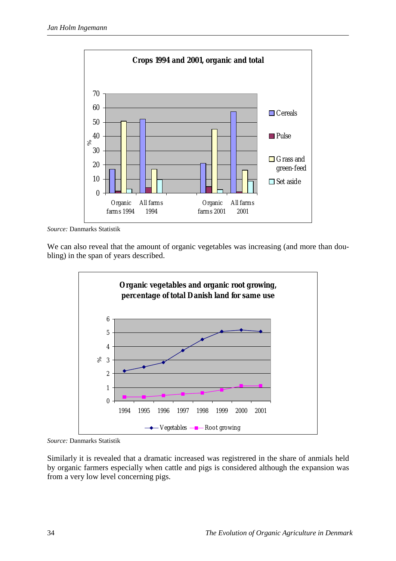

*Source:* Danmarks Statistik

We can also reveal that the amount of organic vegetables was increasing (and more than doubling) in the span of years described.



*Source:* Danmarks Statistik

Similarly it is revealed that a dramatic increased was registrered in the share of anmials held by organic farmers especially when cattle and pigs is considered although the expansion was from a very low level concerning pigs.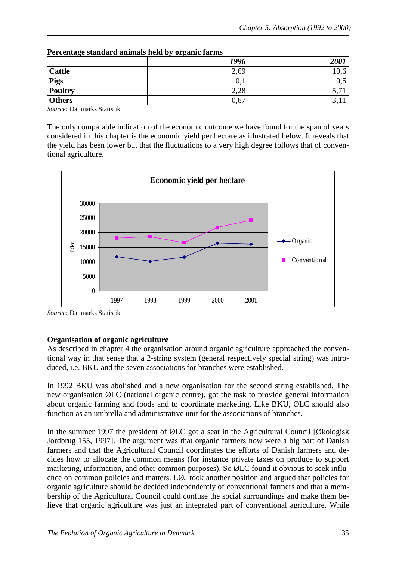| $\bullet$      | $\bullet$<br>1996 | 2001 |
|----------------|-------------------|------|
| <b>Cattle</b>  | 2,69              | 10.6 |
| <b>Pigs</b>    | v. i              |      |
| <b>Poultry</b> | 2,28              | ◡    |
| <b>Others</b>  | 0,67              | ◡.   |

| Percentage standard animals held by organic farms |  |  |  |  |  |
|---------------------------------------------------|--|--|--|--|--|
|---------------------------------------------------|--|--|--|--|--|

*Source:* Danmarks Statistik

The only comparable indication of the economic outcome we have found for the span of years considered in this chapter is the economic yield per hectare as illustrated below. It reveals that the yield has been lower but that the fluctuations to a very high degree follows that of conventional agriculture.



*Source:* Danmarks Statistik

#### **Organisation of organic agriculture**

As described in chapter 4 the organisation around organic agriculture approached the conventional way in that sense that a 2-string system (general respectively special string) was introduced, i.e. BKU and the seven associations for branches were established.

In 1992 BKU was abolished and a new organisation for the second string established. The new organisation ØLC (national organic centre), got the task to provide general information about organic farming and foods and to coordinate marketing. Like BKU, ØLC should also function as an umbrella and administrative unit for the associations of branches.

In the summer 1997 the president of ØLC got a seat in the Agricultural Council [Økologisk Jordbrug 155, 1997]. The argument was that organic farmers now were a big part of Danish farmers and that the Agricultural Council coordinates the efforts of Danish farmers and decides how to allocate the common means (for instance private taxes on produce to support marketing, information, and other common purposes). So ØLC found it obvious to seek influence on common policies and matters. LØJ took another position and argued that policies for organic agriculture should be decided independently of conventional farmers and that a membership of the Agricultural Council could confuse the social surroundings and make them believe that organic agriculture was just an integrated part of conventional agriculture. While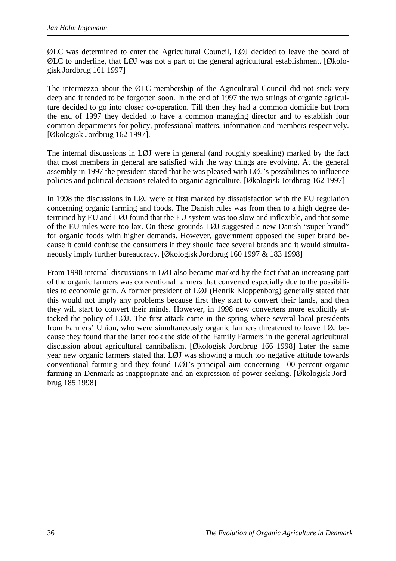ØLC was determined to enter the Agricultural Council, LØJ decided to leave the board of ØLC to underline, that LØJ was not a part of the general agricultural establishment. [Økologisk Jordbrug 161 1997]

The intermezzo about the ØLC membership of the Agricultural Council did not stick very deep and it tended to be forgotten soon. In the end of 1997 the two strings of organic agriculture decided to go into closer co-operation. Till then they had a common domicile but from the end of 1997 they decided to have a common managing director and to establish four common departments for policy, professional matters, information and members respectively. [Økologisk Jordbrug 162 1997].

The internal discussions in LØJ were in general (and roughly speaking) marked by the fact that most members in general are satisfied with the way things are evolving. At the general assembly in 1997 the president stated that he was pleased with LØJ's possibilities to influence policies and political decisions related to organic agriculture. [Økologisk Jordbrug 162 1997]

In 1998 the discussions in LØJ were at first marked by dissatisfaction with the EU regulation concerning organic farming and foods. The Danish rules was from then to a high degree determined by EU and LØJ found that the EU system was too slow and inflexible, and that some of the EU rules were too lax. On these grounds LØJ suggested a new Danish "super brand" for organic foods with higher demands. However, government opposed the super brand because it could confuse the consumers if they should face several brands and it would simultaneously imply further bureaucracy. [Økologisk Jordbrug 160 1997 & 183 1998]

From 1998 internal discussions in LØJ also became marked by the fact that an increasing part of the organic farmers was conventional farmers that converted especially due to the possibilities to economic gain. A former president of LØJ (Henrik Kloppenborg) generally stated that this would not imply any problems because first they start to convert their lands, and then they will start to convert their minds. However, in 1998 new converters more explicitly attacked the policy of LØJ. The first attack came in the spring where several local presidents from Farmers' Union, who were simultaneously organic farmers threatened to leave LØJ because they found that the latter took the side of the Family Farmers in the general agricultural discussion about agricultural cannibalism. [Økologisk Jordbrug 166 1998] Later the same year new organic farmers stated that LØJ was showing a much too negative attitude towards conventional farming and they found LØJ's principal aim concerning 100 percent organic farming in Denmark as inappropriate and an expression of power-seeking. [Økologisk Jordbrug 185 1998]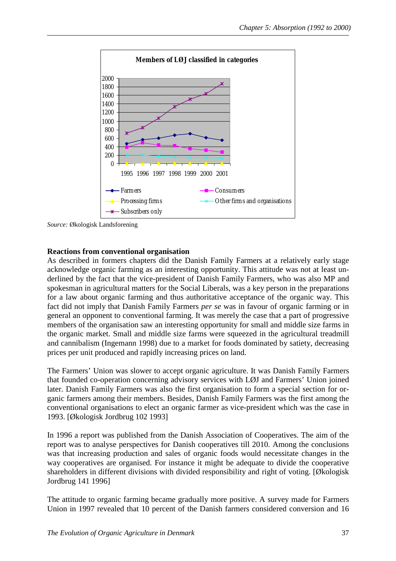

*Source:* Økologisk Landsforening

#### **Reactions from conventional organisation**

As described in formers chapters did the Danish Family Farmers at a relatively early stage acknowledge organic farming as an interesting opportunity. This attitude was not at least underlined by the fact that the vice-president of Danish Family Farmers, who was also MP and spokesman in agricultural matters for the Social Liberals, was a key person in the preparations for a law about organic farming and thus authoritative acceptance of the organic way. This fact did not imply that Danish Family Farmers *per se* was in favour of organic farming or in general an opponent to conventional farming. It was merely the case that a part of progressive members of the organisation saw an interesting opportunity for small and middle size farms in the organic market. Small and middle size farms were squeezed in the agricultural treadmill and cannibalism (Ingemann 1998) due to a market for foods dominated by satiety, decreasing prices per unit produced and rapidly increasing prices on land.

The Farmers' Union was slower to accept organic agriculture. It was Danish Family Farmers that founded co-operation concerning advisory services with LØJ and Farmers' Union joined later. Danish Family Farmers was also the first organisation to form a special section for organic farmers among their members. Besides, Danish Family Farmers was the first among the conventional organisations to elect an organic farmer as vice-president which was the case in 1993. [Økologisk Jordbrug 102 1993]

In 1996 a report was published from the Danish Association of Cooperatives. The aim of the report was to analyse perspectives for Danish cooperatives till 2010. Among the conclusions was that increasing production and sales of organic foods would necessitate changes in the way cooperatives are organised. For instance it might be adequate to divide the cooperative shareholders in different divisions with divided responsibility and right of voting. [Økologisk Jordbrug 141 1996]

The attitude to organic farming became gradually more positive. A survey made for Farmers Union in 1997 revealed that 10 percent of the Danish farmers considered conversion and 16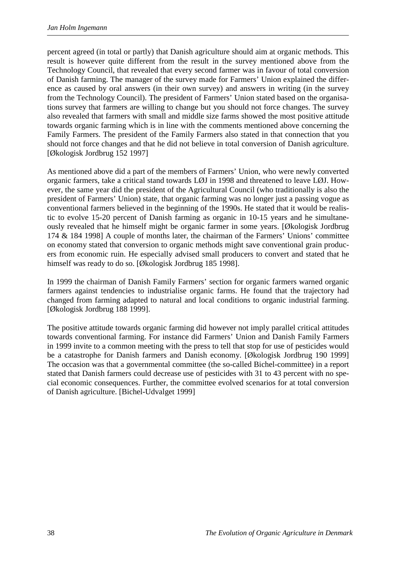percent agreed (in total or partly) that Danish agriculture should aim at organic methods. This result is however quite different from the result in the survey mentioned above from the Technology Council, that revealed that every second farmer was in favour of total conversion of Danish farming. The manager of the survey made for Farmers' Union explained the difference as caused by oral answers (in their own survey) and answers in writing (in the survey from the Technology Council). The president of Farmers' Union stated based on the organisations survey that farmers are willing to change but you should not force changes. The survey also revealed that farmers with small and middle size farms showed the most positive attitude towards organic farming which is in line with the comments mentioned above concerning the Family Farmers. The president of the Family Farmers also stated in that connection that you should not force changes and that he did not believe in total conversion of Danish agriculture. [Økologisk Jordbrug 152 1997]

As mentioned above did a part of the members of Farmers' Union, who were newly converted organic farmers, take a critical stand towards LØJ in 1998 and threatened to leave LØJ. However, the same year did the president of the Agricultural Council (who traditionally is also the president of Farmers' Union) state, that organic farming was no longer just a passing vogue as conventional farmers believed in the beginning of the 1990s. He stated that it would be realistic to evolve 15-20 percent of Danish farming as organic in 10-15 years and he simultaneously revealed that he himself might be organic farmer in some years. [Økologisk Jordbrug 174 & 184 1998] A couple of months later, the chairman of the Farmers' Unions' committee on economy stated that conversion to organic methods might save conventional grain producers from economic ruin. He especially advised small producers to convert and stated that he himself was ready to do so. [Økologisk Jordbrug 185 1998].

In 1999 the chairman of Danish Family Farmers' section for organic farmers warned organic farmers against tendencies to industrialise organic farms. He found that the trajectory had changed from farming adapted to natural and local conditions to organic industrial farming. [Økologisk Jordbrug 188 1999].

The positive attitude towards organic farming did however not imply parallel critical attitudes towards conventional farming. For instance did Farmers' Union and Danish Family Farmers in 1999 invite to a common meeting with the press to tell that stop for use of pesticides would be a catastrophe for Danish farmers and Danish economy. [Økologisk Jordbrug 190 1999] The occasion was that a governmental committee (the so-called Bichel-committee) in a report stated that Danish farmers could decrease use of pesticides with 31 to 43 percent with no special economic consequences. Further, the committee evolved scenarios for at total conversion of Danish agriculture. [Bichel-Udvalget 1999]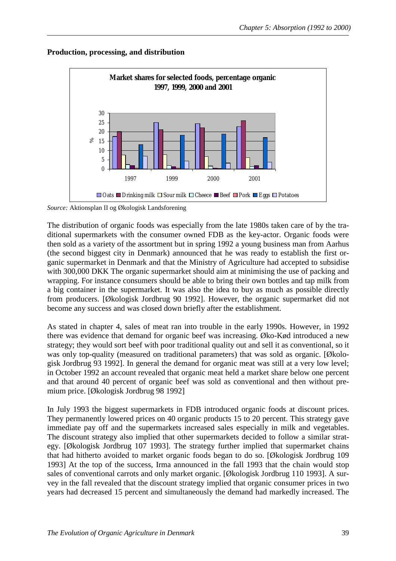**Production, processing, and distribution** 



*Source:* Aktionsplan II og Økologisk Landsforening

The distribution of organic foods was especially from the late 1980s taken care of by the traditional supermarkets with the consumer owned FDB as the key-actor. Organic foods were then sold as a variety of the assortment but in spring 1992 a young business man from Aarhus (the second biggest city in Denmark) announced that he was ready to establish the first organic supermarket in Denmark and that the Ministry of Agriculture had accepted to subsidise with 300,000 DKK The organic supermarket should aim at minimising the use of packing and wrapping. For instance consumers should be able to bring their own bottles and tap milk from a big container in the supermarket. It was also the idea to buy as much as possible directly from producers. [Økologisk Jordbrug 90 1992]. However, the organic supermarket did not become any success and was closed down briefly after the establishment.

As stated in chapter 4, sales of meat ran into trouble in the early 1990s. However, in 1992 there was evidence that demand for organic beef was increasing. Øko-Kød introduced a new strategy; they would sort beef with poor traditional quality out and sell it as conventional, so it was only top-quality (measured on traditional parameters) that was sold as organic. [Økologisk Jordbrug 93 1992]. In general the demand for organic meat was still at a very low level; in October 1992 an account revealed that organic meat held a market share below one percent and that around 40 percent of organic beef was sold as conventional and then without premium price. [Økologisk Jordbrug 98 1992]

In July 1993 the biggest supermarkets in FDB introduced organic foods at discount prices. They permanently lowered prices on 40 organic products 15 to 20 percent. This strategy gave immediate pay off and the supermarkets increased sales especially in milk and vegetables. The discount strategy also implied that other supermarkets decided to follow a similar strategy. [Økologisk Jordbrug 107 1993]. The strategy further implied that supermarket chains that had hitherto avoided to market organic foods began to do so. [Økologisk Jordbrug 109 1993] At the top of the success, Irma announced in the fall 1993 that the chain would stop sales of conventional carrots and only market organic. [Økologisk Jordbrug 110 1993]. A survey in the fall revealed that the discount strategy implied that organic consumer prices in two years had decreased 15 percent and simultaneously the demand had markedly increased. The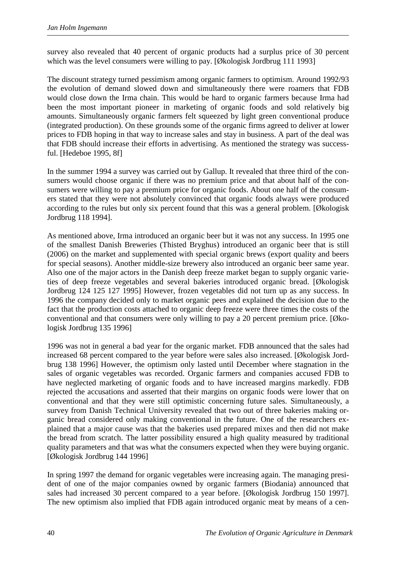survey also revealed that 40 percent of organic products had a surplus price of 30 percent which was the level consumers were willing to pay. [Økologisk Jordbrug 111 1993]

The discount strategy turned pessimism among organic farmers to optimism. Around 1992/93 the evolution of demand slowed down and simultaneously there were roamers that FDB would close down the Irma chain. This would be hard to organic farmers because Irma had been the most important pioneer in marketing of organic foods and sold relatively big amounts. Simultaneously organic farmers felt squeezed by light green conventional produce (integrated production). On these grounds some of the organic firms agreed to deliver at lower prices to FDB hoping in that way to increase sales and stay in business. A part of the deal was that FDB should increase their efforts in advertising. As mentioned the strategy was successful. [Hedeboe 1995, 8f]

In the summer 1994 a survey was carried out by Gallup. It revealed that three third of the consumers would choose organic if there was no premium price and that about half of the consumers were willing to pay a premium price for organic foods. About one half of the consumers stated that they were not absolutely convinced that organic foods always were produced according to the rules but only six percent found that this was a general problem. [Økologisk Jordbrug 118 1994].

As mentioned above, Irma introduced an organic beer but it was not any success. In 1995 one of the smallest Danish Breweries (Thisted Bryghus) introduced an organic beer that is still (2006) on the market and supplemented with special organic brews (export quality and beers for special seasons). Another middle-size brewery also introduced an organic beer same year. Also one of the major actors in the Danish deep freeze market began to supply organic varieties of deep freeze vegetables and several bakeries introduced organic bread. [Økologisk Jordbrug 124 125 127 1995] However, frozen vegetables did not turn up as any success. In 1996 the company decided only to market organic pees and explained the decision due to the fact that the production costs attached to organic deep freeze were three times the costs of the conventional and that consumers were only willing to pay a 20 percent premium price. [Økologisk Jordbrug 135 1996]

1996 was not in general a bad year for the organic market. FDB announced that the sales had increased 68 percent compared to the year before were sales also increased. [Økologisk Jordbrug 138 1996] However, the optimism only lasted until December where stagnation in the sales of organic vegetables was recorded. Organic farmers and companies accused FDB to have neglected marketing of organic foods and to have increased margins markedly. FDB rejected the accusations and asserted that their margins on organic foods were lower that on conventional and that they were still optimistic concerning future sales. Simultaneously, a survey from Danish Technical University revealed that two out of three bakeries making organic bread considered only making conventional in the future. One of the researchers explained that a major cause was that the bakeries used prepared mixes and then did not make the bread from scratch. The latter possibility ensured a high quality measured by traditional quality parameters and that was what the consumers expected when they were buying organic. [Økologisk Jordbrug 144 1996]

In spring 1997 the demand for organic vegetables were increasing again. The managing president of one of the major companies owned by organic farmers (Biodania) announced that sales had increased 30 percent compared to a year before. [Økologisk Jordbrug 150 1997]. The new optimism also implied that FDB again introduced organic meat by means of a cen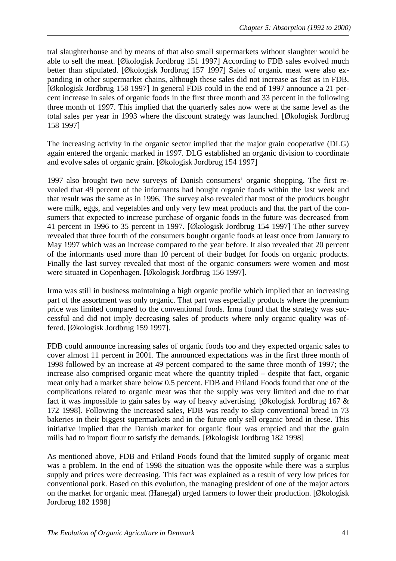tral slaughterhouse and by means of that also small supermarkets without slaughter would be able to sell the meat. [Økologisk Jordbrug 151 1997] According to FDB sales evolved much better than stipulated. [Økologisk Jordbrug 157 1997] Sales of organic meat were also expanding in other supermarket chains, although these sales did not increase as fast as in FDB. [Økologisk Jordbrug 158 1997] In general FDB could in the end of 1997 announce a 21 percent increase in sales of organic foods in the first three month and 33 percent in the following three month of 1997. This implied that the quarterly sales now were at the same level as the total sales per year in 1993 where the discount strategy was launched. [Økologisk Jordbrug 158 1997]

The increasing activity in the organic sector implied that the major grain cooperative (DLG) again entered the organic marked in 1997. DLG established an organic division to coordinate and evolve sales of organic grain. [Økologisk Jordbrug 154 1997]

1997 also brought two new surveys of Danish consumers' organic shopping. The first revealed that 49 percent of the informants had bought organic foods within the last week and that result was the same as in 1996. The survey also revealed that most of the products bought were milk, eggs, and vegetables and only very few meat products and that the part of the consumers that expected to increase purchase of organic foods in the future was decreased from 41 percent in 1996 to 35 percent in 1997. [Økologisk Jordbrug 154 1997] The other survey revealed that three fourth of the consumers bought organic foods at least once from January to May 1997 which was an increase compared to the year before. It also revealed that 20 percent of the informants used more than 10 percent of their budget for foods on organic products. Finally the last survey revealed that most of the organic consumers were women and most were situated in Copenhagen. [Økologisk Jordbrug 156 1997].

Irma was still in business maintaining a high organic profile which implied that an increasing part of the assortment was only organic. That part was especially products where the premium price was limited compared to the conventional foods. Irma found that the strategy was successful and did not imply decreasing sales of products where only organic quality was offered. [Økologisk Jordbrug 159 1997].

FDB could announce increasing sales of organic foods too and they expected organic sales to cover almost 11 percent in 2001. The announced expectations was in the first three month of 1998 followed by an increase at 49 percent compared to the same three month of 1997; the increase also comprised organic meat where the quantity tripled – despite that fact, organic meat only had a market share below 0.5 percent. FDB and Friland Foods found that one of the complications related to organic meat was that the supply was very limited and due to that fact it was impossible to gain sales by way of heavy advertising. [Økologisk Jordbrug 167 & 172 1998]. Following the increased sales, FDB was ready to skip conventional bread in 73 bakeries in their biggest supermarkets and in the future only sell organic bread in these. This initiative implied that the Danish market for organic flour was emptied and that the grain mills had to import flour to satisfy the demands. [Økologisk Jordbrug 182 1998]

As mentioned above, FDB and Friland Foods found that the limited supply of organic meat was a problem. In the end of 1998 the situation was the opposite while there was a surplus supply and prices were decreasing. This fact was explained as a result of very low prices for conventional pork. Based on this evolution, the managing president of one of the major actors on the market for organic meat (Hanegal) urged farmers to lower their production. [Økologisk Jordbrug 182 1998]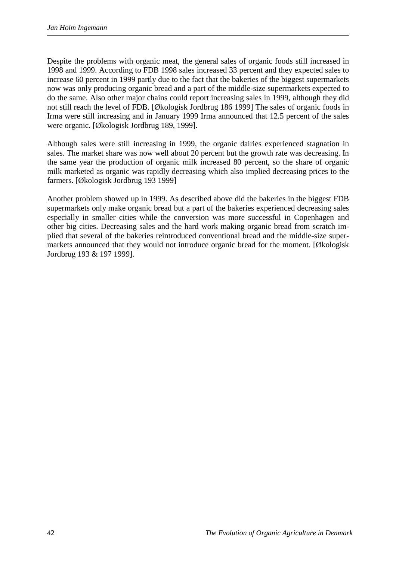Despite the problems with organic meat, the general sales of organic foods still increased in 1998 and 1999. According to FDB 1998 sales increased 33 percent and they expected sales to increase 60 percent in 1999 partly due to the fact that the bakeries of the biggest supermarkets now was only producing organic bread and a part of the middle-size supermarkets expected to do the same. Also other major chains could report increasing sales in 1999, although they did not still reach the level of FDB. [Økologisk Jordbrug 186 1999] The sales of organic foods in Irma were still increasing and in January 1999 Irma announced that 12.5 percent of the sales were organic. [Økologisk Jordbrug 189, 1999].

Although sales were still increasing in 1999, the organic dairies experienced stagnation in sales. The market share was now well about 20 percent but the growth rate was decreasing. In the same year the production of organic milk increased 80 percent, so the share of organic milk marketed as organic was rapidly decreasing which also implied decreasing prices to the farmers. [Økologisk Jordbrug 193 1999]

Another problem showed up in 1999. As described above did the bakeries in the biggest FDB supermarkets only make organic bread but a part of the bakeries experienced decreasing sales especially in smaller cities while the conversion was more successful in Copenhagen and other big cities. Decreasing sales and the hard work making organic bread from scratch implied that several of the bakeries reintroduced conventional bread and the middle-size supermarkets announced that they would not introduce organic bread for the moment. [Økologisk Jordbrug 193 & 197 1999].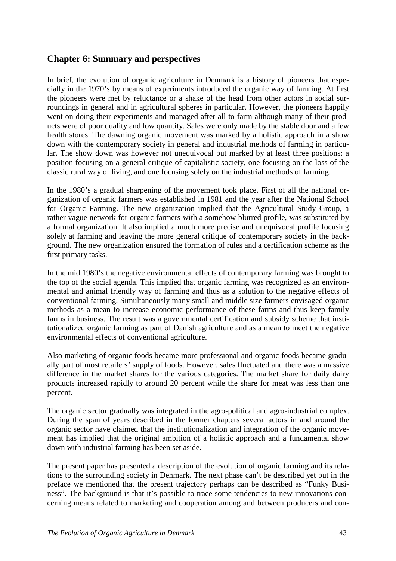## **Chapter 6: Summary and perspectives**

In brief, the evolution of organic agriculture in Denmark is a history of pioneers that especially in the 1970's by means of experiments introduced the organic way of farming. At first the pioneers were met by reluctance or a shake of the head from other actors in social surroundings in general and in agricultural spheres in particular. However, the pioneers happily went on doing their experiments and managed after all to farm although many of their products were of poor quality and low quantity. Sales were only made by the stable door and a few health stores. The dawning organic movement was marked by a holistic approach in a show down with the contemporary society in general and industrial methods of farming in particular. The show down was however not unequivocal but marked by at least three positions: a position focusing on a general critique of capitalistic society, one focusing on the loss of the classic rural way of living, and one focusing solely on the industrial methods of farming.

In the 1980's a gradual sharpening of the movement took place. First of all the national organization of organic farmers was established in 1981 and the year after the National School for Organic Farming. The new organization implied that the Agricultural Study Group, a rather vague network for organic farmers with a somehow blurred profile, was substituted by a formal organization. It also implied a much more precise and unequivocal profile focusing solely at farming and leaving the more general critique of contemporary society in the background. The new organization ensured the formation of rules and a certification scheme as the first primary tasks.

In the mid 1980's the negative environmental effects of contemporary farming was brought to the top of the social agenda. This implied that organic farming was recognized as an environmental and animal friendly way of farming and thus as a solution to the negative effects of conventional farming. Simultaneously many small and middle size farmers envisaged organic methods as a mean to increase economic performance of these farms and thus keep family farms in business. The result was a governmental certification and subsidy scheme that institutionalized organic farming as part of Danish agriculture and as a mean to meet the negative environmental effects of conventional agriculture.

Also marketing of organic foods became more professional and organic foods became gradually part of most retailers' supply of foods. However, sales fluctuated and there was a massive difference in the market shares for the various categories. The market share for daily dairy products increased rapidly to around 20 percent while the share for meat was less than one percent.

The organic sector gradually was integrated in the agro-political and agro-industrial complex. During the span of years described in the former chapters several actors in and around the organic sector have claimed that the institutionalization and integration of the organic movement has implied that the original ambition of a holistic approach and a fundamental show down with industrial farming has been set aside.

The present paper has presented a description of the evolution of organic farming and its relations to the surrounding society in Denmark. The next phase can't be described yet but in the preface we mentioned that the present trajectory perhaps can be described as "Funky Business". The background is that it's possible to trace some tendencies to new innovations concerning means related to marketing and cooperation among and between producers and con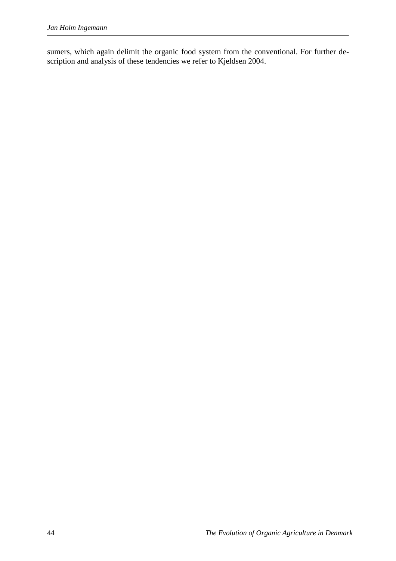sumers, which again delimit the organic food system from the conventional. For further description and analysis of these tendencies we refer to Kjeldsen 2004.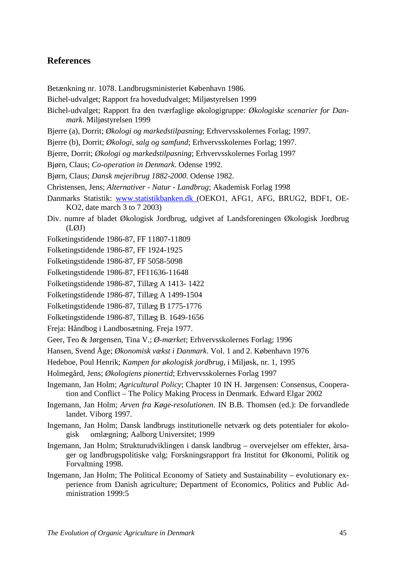#### **References**

- Betænkning nr. 1078. Landbrugsministeriet København 1986.
- Bichel-udvalget; Rapport fra hovedudvalget; Miljøstyrelsen 1999
- Bichel-udvalget; Rapport fra den tværfaglige økologigruppe: *Økologiske scenarier for Danmark*. Miljøstyrelsen 1999
- Bjerre (a), Dorrit; *Økologi og markedstilpasning*; Erhvervsskolernes Forlag; 1997.
- Bjerre (b), Dorrit; *Økologi, salg og samfund*; Erhvervsskolernes Forlag; 1997.
- Bjerre, Dorrit; *Økologi og markedstilpasning*; Erhvervsskolernes Forlag 1997
- Bjørn, Claus; *Co-operation in Denmark*. Odense 1992.
- Bjørn, Claus; *Dansk mejeribrug 1882-2000*. Odense 1982.
- Christensen, Jens; *Alternativer Natur Landbrug*; Akademisk Forlag 1998
- Danmarks Statistik: www.statistikbanken.dk (OEKO1, AFG1, AFG, BRUG2, BDF1, OE-KO2, date march 3 to 7 2003)
- Div. numre af bladet Økologisk Jordbrug, udgivet af Landsforeningen Økologisk Jordbrug (LØJ)
- Folketingstidende 1986-87, FF 11807-11809
- Folketingstidende 1986-87, FF 1924-1925
- Folketingstidende 1986-87, FF 5058-5098
- Folketingstidende 1986-87, FF11636-11648
- Folketingstidende 1986-87, Tillæg A 1413- 1422
- Folketingstidende 1986-87, Tillæg A 1499-1504
- Folketingstidende 1986-87, Tillæg B 1775-1776
- Folketingstidende 1986-87, Tillæg B. 1649-1656
- Freja: Håndbog i Landbosætning. Freja 1977.
- Geer, Teo & Jørgensen, Tina V.; *Ø-mærket*; Erhvervsskolernes Forlag; 1996
- Hansen, Svend Åge; *Økonomisk vækst i Danmark*. Vol. 1 and 2. København 1976
- Hedeboe, Poul Henrik; *Kampen for økologisk jordbrug*, i Miljøsk, nr. 1, 1995
- Holmegård, Jens; *Økologiens pionertid*; Erhvervsskolernes Forlag 1997
- Ingemann, Jan Holm; *Agricultural Policy*; Chapter 10 IN H. Jørgensen: Consensus, Cooperation and Conflict – The Policy Making Process in Denmark. Edward Elgar 2002
- Ingemann, Jan Holm; *Arven fra Køge-resolutionen*. IN B.B. Thomsen (ed.): De forvandlede landet. Viborg 1997.
- Ingemann, Jan Holm; Dansk landbrugs institutionelle netværk og dets potentialer for økologisk omlægning; Aalborg Universitet; 1999
- Ingemann, Jan Holm; Strukturudviklingen i dansk landbrug overvejelser om effekter, årsager og landbrugspolitiske valg; Forskningsrapport fra Institut for Økonomi, Politik og Forvaltning 1998.
- Ingemann, Jan Holm; The Political Economy of Satiety and Sustainability evolutionary experience from Danish agriculture; Department of Economics, Politics and Public Administration 1999:5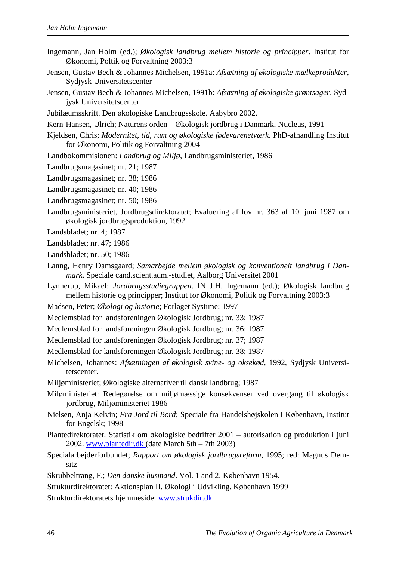- Ingemann, Jan Holm (ed.); *Økologisk landbrug mellem historie og principper*. Institut for Økonomi, Poltik og Forvaltning 2003:3
- Jensen, Gustav Bech & Johannes Michelsen, 1991a: *Afsætning af økologiske mælkeprodukter*, Sydjysk Universitetscenter
- Jensen, Gustav Bech & Johannes Michelsen, 1991b: *Afsætning af økologiske grøntsager*, Sydjysk Universitetscenter
- Jubilæumsskrift. Den økologiske Landbrugsskole. Aabybro 2002.
- Kern-Hansen, Ulrich; Naturens orden Økologisk jordbrug i Danmark, Nucleus, 1991
- Kjeldsen, Chris; *Modernitet, tid, rum og økologiske fødevarenetværk*. PhD-afhandling Institut for Økonomi, Politik og Forvaltning 2004
- Landbokommisionen: *Landbrug og Miljø*, Landbrugsministeriet, 1986
- Landbrugsmagasinet; nr. 21; 1987
- Landbrugsmagasinet; nr. 38; 1986
- Landbrugsmagasinet; nr. 40; 1986
- Landbrugsmagasinet; nr. 50; 1986
- Landbrugsministeriet, Jordbrugsdirektoratet; Evaluering af lov nr. 363 af 10. juni 1987 om økologisk jordbrugsproduktion, 1992
- Landsbladet; nr. 4; 1987
- Landsbladet; nr. 47; 1986
- Landsbladet; nr. 50; 1986
- Lanng, Henry Damsgaard; *Samarbejde mellem økologisk og konventionelt landbrug i Danmark*. Speciale cand.scient.adm.-studiet, Aalborg Universitet 2001
- Lynnerup, Mikael: *Jordbrugsstudiegruppen*. IN J.H. Ingemann (ed.); Økologisk landbrug mellem historie og principper; Institut for Økonomi, Politik og Forvaltning 2003:3
- Madsen, Peter; *Økologi og historie*; Forlaget Systime; 1997
- Medlemsblad for landsforeningen Økologisk Jordbrug; nr. 33; 1987
- Medlemsblad for landsforeningen Økologisk Jordbrug; nr. 36; 1987
- Medlemsblad for landsforeningen Økologisk Jordbrug; nr. 37; 1987
- Medlemsblad for landsforeningen Økologisk Jordbrug; nr. 38; 1987
- Michelsen, Johannes: *Afsætningen af økologisk svine- og oksekød*, 1992, Sydjysk Universitetscenter.
- Miljøministeriet; Økologiske alternativer til dansk landbrug; 1987
- Miløministeriet: Redegørelse om miljømæssige konsekvenser ved overgang til økologisk jordbrug, Miljøministeriet 1986
- Nielsen, Anja Kelvin; *Fra Jord til Bord*; Speciale fra Handelshøjskolen I København, Institut for Engelsk; 1998
- Plantedirektoratet. Statistik om økologiske bedrifter 2001 autorisation og produktion i juni 2002. www.plantedir.dk (date March 5th – 7th 2003)
- Specialarbejderforbundet; *Rapport om økologisk jordbrugsreform*, 1995; red: Magnus Demsitz
- Skrubbeltrang, F.; *Den danske husmand*. Vol. 1 and 2. København 1954.
- Strukturdirektoratet: Aktionsplan II. Økologi i Udvikling. København 1999
- Strukturdirektoratets hjemmeside: www.strukdir.dk